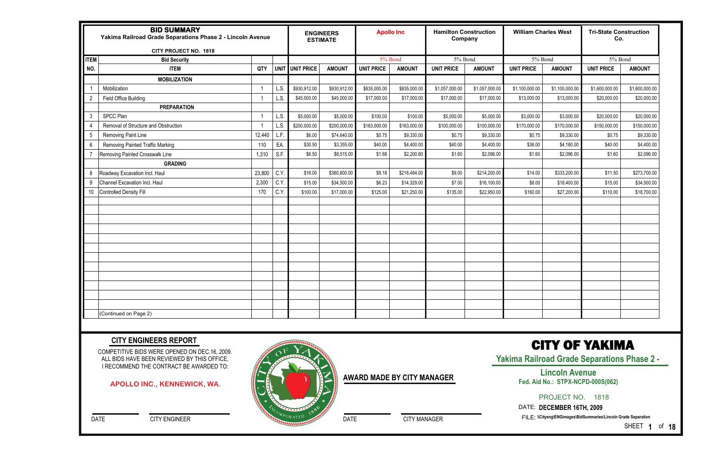|                 | <b>BID SUMMARY</b><br>Yakima Railroad Grade Separations Phase 2 - Lincoln Avenue<br><b>CITY PROJECT NO. 1818</b> |        |      |                 | <b>ENGINEERS</b><br><b>ESTIMATE</b> |                   | <b>Apollo Inc</b> | <b>Hamilton Construction</b><br>Company |                | <b>William Charles West</b> |                | <b>Tri-State Construction</b><br>Co. |                |
|-----------------|------------------------------------------------------------------------------------------------------------------|--------|------|-----------------|-------------------------------------|-------------------|-------------------|-----------------------------------------|----------------|-----------------------------|----------------|--------------------------------------|----------------|
| <b>ITEM</b>     | <b>Bid Security</b>                                                                                              |        |      |                 |                                     | 5% Bond           |                   | 5% Bond                                 |                | 5% Bond                     |                | 5% Bond                              |                |
| NO.             | <b>ITEM</b>                                                                                                      | QTY    |      | UNIT UNIT PRICE | <b>AMOUNT</b>                       | <b>UNIT PRICE</b> | <b>AMOUNT</b>     | <b>UNIT PRICE</b>                       | <b>AMOUNT</b>  | <b>UNIT PRICE</b>           | <b>AMOUNT</b>  | <b>UNIT PRICE</b>                    | <b>AMOUNT</b>  |
|                 | <b>MOBILIZATION</b>                                                                                              |        |      |                 |                                     |                   |                   |                                         |                |                             |                |                                      |                |
|                 | Mobilization                                                                                                     |        | L.S. | \$930,912.00    | \$930,912.00                        | \$835,000.00      | \$835,000.00      | \$1,057,000.00                          | \$1,057,000.00 | \$1,100,000.00              | \$1,100,000.00 | \$1,600,000.00                       | \$1,600,000.00 |
| $\overline{2}$  | Field Office Building                                                                                            |        | L.S. | \$45,000.00     | \$45,000.00                         | \$17,000.00       | \$17,000.00       | \$17,000.00                             | \$17,000.00    | \$13,000.00                 | \$13,000.00    | \$20,000.00                          | \$20,000.00    |
|                 | <b>PREPARATION</b>                                                                                               |        |      |                 |                                     |                   |                   |                                         |                |                             |                |                                      |                |
| 3               | SPCC Plan                                                                                                        |        | L.S. | \$5,000.00      | \$5,000.00                          | \$100.00          | \$100.00          | \$5,000.00                              | \$5,000.00     | \$3,000.00                  | \$3,000.00     | \$20,000.00                          | \$20,000.00    |
| 4               | Removal of Structure and Obstruction                                                                             |        | L.S. | \$200,000.00    | \$200,000.00                        | \$163,000.00      | \$163,000.00      | \$100,000.00                            | \$100,000.00   | \$170,000.00                | \$170,000.00   | \$150,000.00                         | \$150,000.00   |
| $5\phantom{.0}$ | Removing Paint Line                                                                                              | 12,440 | L.F. | \$6.00          | \$74,640.00                         | \$0.75            | \$9,330.00        | \$0.75                                  | \$9,330.00     | \$0.75                      | \$9,330.00     | \$0.75                               | \$9,330.00     |
| $6\,$           | <b>Removing Painted Traffic Marking</b>                                                                          | 110    | EA.  | \$30.50         | \$3,355.00                          | \$40.00           | \$4,400.00        | \$40.00                                 | \$4,400.00     | \$38.00                     | \$4,180.00     | \$40.00                              | \$4,400.00     |
| $\overline{7}$  | Removing Painted Crosswalk Line                                                                                  | 1,310  | S.F. | \$6.50          | \$8,515.00                          | \$1.68            | \$2,200.80        | \$1.60                                  | \$2,096.00     | \$1.60                      | \$2,096.00     | \$1.60                               | \$2,096.00     |
|                 | <b>GRADING</b>                                                                                                   |        |      |                 |                                     |                   |                   |                                         |                |                             |                |                                      |                |
| 8               | Roadway Excavation Incl. Haul                                                                                    | 23,800 | C.Y. | \$16.00         | \$380,800.00                        | \$9.18            | \$218,484.00      | \$9.00                                  | \$214,200.00   | \$14.00                     | \$333,200.00   | \$11.50                              | \$273,700.00   |
| $9\,$           | Channel Excavation Incl. Haul                                                                                    | 2,300  | C.Y. | \$15.00         | \$34,500.00                         | \$6.23            | \$14,329.00       | \$7.00                                  | \$16,100.00    | \$8.00                      | \$18,400.00    | \$15.00                              | \$34,500.00    |
| 10              | <b>Controlled Density Fill</b>                                                                                   | 170    | C.Y. | \$100.00        | \$17,000.00                         | \$125.00          | \$21,250.00       | \$135.00                                | \$22,950.00    | \$160.00                    | \$27,200.00    | \$110.00                             | \$18,700.00    |
|                 |                                                                                                                  |        |      |                 |                                     |                   |                   |                                         |                |                             |                |                                      |                |
|                 |                                                                                                                  |        |      |                 |                                     |                   |                   |                                         |                |                             |                |                                      |                |
|                 |                                                                                                                  |        |      |                 |                                     |                   |                   |                                         |                |                             |                |                                      |                |
|                 |                                                                                                                  |        |      |                 |                                     |                   |                   |                                         |                |                             |                |                                      |                |
|                 |                                                                                                                  |        |      |                 |                                     |                   |                   |                                         |                |                             |                |                                      |                |
|                 |                                                                                                                  |        |      |                 |                                     |                   |                   |                                         |                |                             |                |                                      |                |
|                 |                                                                                                                  |        |      |                 |                                     |                   |                   |                                         |                |                             |                |                                      |                |
|                 |                                                                                                                  |        |      |                 |                                     |                   |                   |                                         |                |                             |                |                                      |                |
|                 |                                                                                                                  |        |      |                 |                                     |                   |                   |                                         |                |                             |                |                                      |                |
|                 |                                                                                                                  |        |      |                 |                                     |                   |                   |                                         |                |                             |                |                                      |                |
|                 |                                                                                                                  |        |      |                 |                                     |                   |                   |                                         |                |                             |                |                                      |                |
|                 |                                                                                                                  |        |      |                 |                                     |                   |                   |                                         |                |                             |                |                                      |                |
|                 | (Continued on Page 2)                                                                                            |        |      |                 |                                     |                   |                   |                                         |                |                             |                |                                      |                |

COMPETITIVE BIDS WERE OPENED ON DEC.16, 2009. ALL BIDS HAVE BEEN REVIEWED BY THIS OFFICE. I RECOMMEND THE CONTRACT BE AWARDED TO:

DATE CITY ENGINEER

#### **CITY ENGINEERS REPORT**

### CITY OF YAKIMA

**Yakima Railroad Grade Separations Phase 2 -** 

PROJECT NO. 1818

DATE: **DECEMBER 16TH, 2009** 

FILE: **\\Cityeng\ENGimages\BidSummaries\Lincoln Grade Separation** 

SHEET **1** of **18**

#### **APOLLO INC., KENNEWICK, WA.**



DATE CITY MANAGER

**Lincoln Avenue Fed. Aid No.: STPX-NCPD-000S(062)**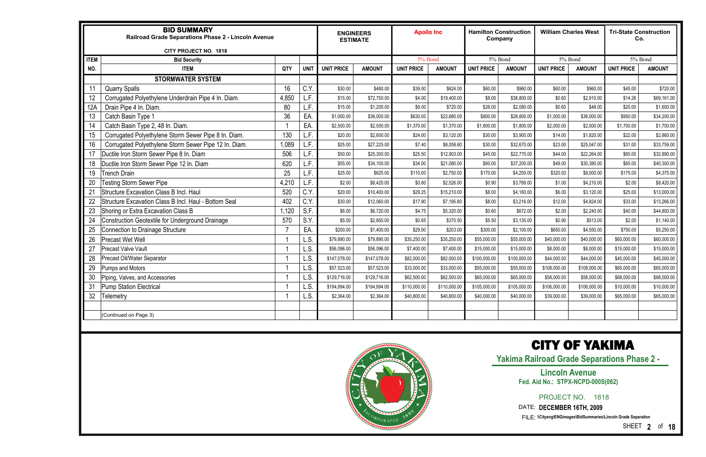|             | <b>BID SUMMARY</b><br>Railroad Grade Separations Phase 2 - Lincoln Avenue<br>CITY PROJECT NO. 1818 |       |             |                   | <b>ENGINEERS</b><br><b>ESTIMATE</b> | <b>Apollo Inc</b> |               |                   | <b>Hamilton Construction</b><br>Company |                   | <b>William Charles West</b> | <b>Tri-State Construction</b><br>Co. |               |
|-------------|----------------------------------------------------------------------------------------------------|-------|-------------|-------------------|-------------------------------------|-------------------|---------------|-------------------|-----------------------------------------|-------------------|-----------------------------|--------------------------------------|---------------|
| <b>ITEM</b> | <b>Bid Security</b>                                                                                |       |             |                   |                                     | 5% Bond           |               |                   | 5% Bond                                 |                   | 5% Bond                     |                                      | 5% Bond       |
| NO.         | <b>ITEM</b>                                                                                        | QTY   | <b>UNIT</b> | <b>UNIT PRICE</b> | <b>AMOUNT</b>                       | <b>UNIT PRICE</b> | <b>AMOUNT</b> | <b>UNIT PRICE</b> | <b>AMOUNT</b>                           | <b>UNIT PRICE</b> | <b>AMOUNT</b>               | <b>UNIT PRICE</b>                    | <b>AMOUNT</b> |
|             | <b>STORMWATER SYSTEM</b>                                                                           |       |             |                   |                                     |                   |               |                   |                                         |                   |                             |                                      |               |
| 11          | <b>Quarry Spalls</b>                                                                               | 16    | C.Y.        | \$30.00           | \$480.00                            | \$39.00           | \$624.00      | \$60.00           | \$960.00                                | \$60.00           | \$960.00                    | \$45.00                              | \$720.00      |
| 12          | Corrugated Polyethylene Underdrain Pipe 4 In. Diam.                                                | 4,850 | L.F.        | \$15.00           | \$72,750.00                         | \$4.00            | \$19,400.00   | \$8.00            | \$38,800.00                             | \$0.60            | \$2,910.00                  | \$14.26                              | \$69,161.00   |
| 12A         | Drain Pipe 4 In. Diam.                                                                             | 80    | L.F.        | \$15.00           | \$1,200.00                          | \$9.00            | \$720.00      | \$26.00           | \$2,080.00                              | \$0.60            | \$48.00                     | \$20.00                              | \$1,600.00    |
| 13          | Catch Basin Type 1                                                                                 | 36    | EA          | \$1,000.00        | \$36,000.00                         | \$630.00          | \$22,680.00   | \$800.00          | \$28,800.00                             | \$1,000.00        | \$36,000.00                 | \$950.00                             | \$34,200.00   |
| 14          | Catch Basin Type 2, 48 In. Diam.                                                                   |       | EA          | \$2,500.00        | \$2,500.00                          | \$1,370.00        | \$1,370.00    | \$1,800.00        | \$1,800.00                              | \$2,000.00        | \$2,000.00                  | \$1,700.00                           | \$1,700.00    |
| 15          | Corrugated Polyethylene Storm Sewer Pipe 8 In. Diam.                                               | 130   | L.F.        | \$20.00           | \$2,600.00                          | \$24.00           | \$3,120.00    | \$30.00           | \$3,900.00                              | \$14.00           | \$1,820.00                  | \$22.00                              | \$2,860.00    |
| 16          | Corrugated Polyethylene Storm Sewer Pipe 12 In. Diam.                                              | 1,089 | L.F.        | \$25.00           | \$27,225.00                         | \$7.40            | \$8,058.60    | \$30.00           | \$32,670.00                             | \$23.00           | \$25,047.00                 | \$31.00                              | \$33,759.00   |
| 17          | Ductile Iron Storm Sewer Pipe 8 In. Diam                                                           | 506   | L.F.        | \$50.00           | \$25,300.00                         | \$25.50           | \$12,903.00   | \$45.00           | \$22,770.00                             | \$44.00           | \$22,264.00                 | \$65.00                              | \$32,890.00   |
| 18          | Ductile Iron Storm Sewer Pipe 12 In. Diam                                                          | 620   | L.F.        | \$55.00           | \$34,100.00                         | \$34.00           | \$21,080.00   | \$60.00           | \$37,200.00                             | \$49.00           | \$30,380.00                 | \$65.00                              | \$40,300.00   |
| 19          | <b>Trench Drain</b>                                                                                | 25    | L.F.        | \$25.00           | \$625.00                            | \$110.00          | \$2,750.00    | \$170.00          | \$4,250.00                              | \$320.00          | \$8,000.00                  | \$175.00                             | \$4,375.00    |
| 20          | <b>Festing Storm Sewer Pipe</b>                                                                    | 4,210 | L.F.        | \$2.00            | \$8,420.00                          | \$0.60            | \$2,526.00    | \$0.90            | \$3,789.00                              | \$1.00            | \$4,210.00                  | \$2.00                               | \$8,420.00    |
| 21          | <b>Structure Excavation Class B Incl. Haul</b>                                                     | 520   | C.Y.        | \$20.00           | \$10,400.00                         | \$29.25           | \$15,210.00   | \$8.00            | \$4,160.00                              | \$6.00            | \$3,120.00                  | \$25.00                              | \$13,000.00   |
| 22          | Structure Excavation Class B Incl. Haul - Bottom Seal                                              | 402   | C.Y.        | \$30.00           | \$12,060.00                         | \$17.90           | \$7,195.80    | \$8.00            | \$3,216.00                              | \$12.00           | \$4,824.00                  | \$33.00                              | \$13,266.00   |
| 23          | Shoring or Extra Excavation Class B                                                                | 1,120 | S.F.        | \$6.00            | \$6,720.00                          | \$4.75            | \$5,320.00    | \$0.60            | \$672.00                                | \$2.00            | \$2,240.00                  | \$40.00                              | \$44,800.00   |
| 24          | Construction Geotextile for Underground Drainage                                                   | 570   | S.Y.        | \$5.00            | \$2,850.00                          | \$0.65            | \$370.50      | \$5.50            | \$3,135.00                              | \$0.90            | \$513.00                    | \$2.00                               | \$1,140.00    |
| 25          | <b>Connection to Drainage Structure</b>                                                            |       | EA.         | \$200.00          | \$1,400.00                          | \$29.00           | \$203.00      | \$300.00          | \$2,100.00                              | \$650.00          | \$4,550.00                  | \$750.00                             | \$5,250.00    |
| 26          | <b>Precast Wet Well</b>                                                                            |       | L.S.        | \$79,890.00       | \$79,890.00                         | \$35,250.00       | \$35,250.00   | \$55,000.00       | \$55,000.00                             | \$40,000.00       | \$40,000.00                 | \$60,000.00                          | \$60,000.00   |
| 27          | <b>Precast Valve Vault</b>                                                                         |       | L.S.        | \$56,096.00       | \$56,096.00                         | \$7,400.00        | \$7,400.00    | \$15,000.00       | \$15,000.00                             | \$8,000.00        | \$8,000.00                  | \$15,000.00                          | \$15,000.00   |
| 28          | Precast Oil/Water Separator                                                                        |       | L.S         | \$147,078.00      | \$147,078.00                        | \$82,000.00       | \$82,000.00   | \$100,000.00      | \$100,000.00                            | \$44,000.00       | \$44,000.00                 | \$45,000.00                          | \$45,000.00   |
| 29          | <b>Pumps and Motors</b>                                                                            |       | L.S.        | \$57,523.00       | \$57,523.00                         | \$33,000.00       | \$33,000.00   | \$55,000.00       | \$55,000.00                             | \$108,000.00      | \$108,000.00                | \$65,000.00                          | \$65,000.00   |
| 30          | Piping, Valves, and Accessories                                                                    |       | L.S.        | \$129,716.00      | \$129,716.00                        | \$62,500.00       | \$62,500.00   | \$65,000.00       | \$65,000.00                             | \$58,000.00       | \$58,000.00                 | \$68,000.00                          | \$68,000.00   |
| 31          | <b>Pump Station Electrical</b>                                                                     |       | L.S.        | \$194,994.00      | \$194,994.00                        | \$110,000.00      | \$110,000.00  | \$105,000.00      | \$105,000.00                            | \$106,000.00      | \$106,000.00                | \$10,000.00                          | \$10,000.00   |
| 32          | Telemetry                                                                                          |       | L.S.        | \$2,364.00        | \$2,364.00                          | \$40,800.00       | \$40,800.00   | \$40,000.00       | \$40,000.00                             | \$39,000.00       | \$39,000.00                 | \$65,000.00                          | \$65,000.00   |
|             |                                                                                                    |       |             |                   |                                     |                   |               |                   |                                         |                   |                             |                                      |               |
|             | (Continued on Page 3)                                                                              |       |             |                   |                                     |                   |               |                   |                                         |                   |                             |                                      |               |
|             |                                                                                                    |       |             |                   |                                     |                   |               |                   |                                         |                   |                             |                                      |               |



**Yakima Railroad Grade Separations Phase 2 -** 

PROJECT NO. 1818

SHEET **2** of **18**

#### **Lincoln Avenue Fed. Aid No.: STPX-NCPD-000S(062)**

DATE: **DECEMBER 16TH, 2009**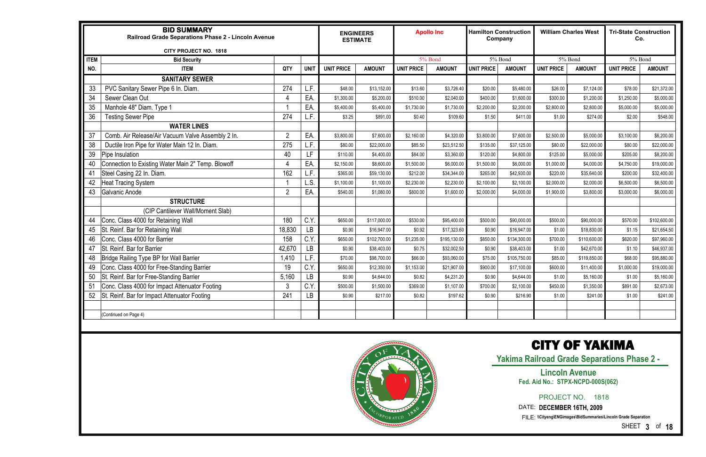|             | <b>BID SUMMARY</b><br>Railroad Grade Separations Phase 2 - Lincoln Avenue<br>CITY PROJECT NO. 1818 |                |           |                   | <b>ENGINEERS</b><br><b>ESTIMATE</b> |                   | <b>Apollo Inc</b> | <b>Hamilton Construction</b><br>Company |               |                   | <b>William Charles West</b> | <b>Tri-State Construction</b><br>Co. |               |
|-------------|----------------------------------------------------------------------------------------------------|----------------|-----------|-------------------|-------------------------------------|-------------------|-------------------|-----------------------------------------|---------------|-------------------|-----------------------------|--------------------------------------|---------------|
| <b>ITEM</b> | <b>Bid Security</b>                                                                                |                |           |                   |                                     |                   | 5% Bond           |                                         | 5% Bond       |                   | 5% Bond                     | 5% Bond                              |               |
| NO.         | <b>ITEM</b>                                                                                        | QTY            | UNIT      | <b>UNIT PRICE</b> | <b>AMOUNT</b>                       | <b>UNIT PRICE</b> | <b>AMOUNT</b>     | <b>UNIT PRICE</b>                       | <b>AMOUNT</b> | <b>UNIT PRICE</b> | <b>AMOUNT</b>               | <b>UNIT PRICE</b>                    | <b>AMOUNT</b> |
|             | <b>SANITARY SEWER</b>                                                                              |                |           |                   |                                     |                   |                   |                                         |               |                   |                             |                                      |               |
| 33          | PVC Sanitary Sewer Pipe 6 In. Diam.                                                                | 274            | L.F       | \$48.00           | \$13,152.00                         | \$13.60           | \$3,726.40        | \$20.00                                 | \$5,480.00    | \$26.00           | \$7,124.00                  | \$78.00                              | \$21,372.00   |
| 34          | Sewer Clean Out                                                                                    |                | EA.       | \$1,300.00        | \$5,200.00                          | \$510.00          | \$2,040.00        | \$400.00                                | \$1,600.00    | \$300.00          | \$1,200.00                  | \$1,250.00                           | \$5,000.00    |
| 35          | Manhole 48" Diam. Type 1                                                                           |                | EA.       | \$5,400.00        | \$5,400.00                          | \$1,730.00        | \$1,730.00        | \$2,200.00                              | \$2,200.00    | \$2,800.00        | \$2,800.00                  | \$5,000.00                           | \$5,000.00    |
| 36          | <b>Testing Sewer Pipe</b>                                                                          | 274            | L.F.      | \$3.25            | \$891.00                            | \$0.40            | \$109.60          | \$1.50                                  | \$411.00      | \$1.00            | \$274.00                    | \$2.00                               | \$548.00      |
|             | <b>WATER LINES</b>                                                                                 |                |           |                   |                                     |                   |                   |                                         |               |                   |                             |                                      |               |
| 37          | Comb. Air Release/Air Vacuum Valve Assembly 2 In.                                                  | $\overline{2}$ | EA.       | \$3,800.00        | \$7,600.00                          | \$2,160.00        | \$4,320.00        | \$3,800.00                              | \$7,600.00    | \$2,500.00        | \$5,000.00                  | \$3,100.00                           | \$6,200.00    |
| 38          | Ductile Iron Pipe for Water Main 12 In. Diam.                                                      | 275            | L.F.      | \$80.00           | \$22,000.00                         | \$85.50           | \$23,512.50       | \$135.00                                | \$37,125.00   | \$80.00           | \$22,000.00                 | \$80.00                              | \$22,000.00   |
| 39          | Pipe Insulation                                                                                    | 40             | LF.       | \$110.00          | \$4,400.00                          | \$84.00           | \$3,360.00        | \$120.00                                | \$4,800.00    | \$125.00          | \$5,000.00                  | \$205.00                             | \$8,200.00    |
| 40          | Connection to Existing Water Main 2" Temp. Blowoff                                                 |                | EA.       | \$2,150.00        | \$8,600.00                          | \$1,500.00        | \$6,000.00        | \$1,500.00                              | \$6,000.00    | \$1,000.00        | \$4,000.00                  | \$4,750.00                           | \$19,000.00   |
| 41          | Steel Casing 22 In. Diam.                                                                          | 162            | L.F.      | \$365.00          | \$59,130.00                         | \$212.00          | \$34,344.00       | \$265.00                                | \$42,930.00   | \$220.00          | \$35,640.00                 | \$200.00                             | \$32,400.00   |
| 42          | <b>Heat Tracing System</b>                                                                         |                | L.S.      | \$1,100.00        | \$1,100.00                          | \$2,230.00        | \$2,230.00        | \$2,100.00                              | \$2,100.00    | \$2,000.00        | \$2,000.00                  | \$6,500.00                           | \$6,500.00    |
| 43          | Galvanic Anode                                                                                     | $\overline{2}$ | EA.       | \$540.00          | \$1,080.00                          | \$800.00          | \$1,600.00        | \$2,000.00                              | \$4,000.00    | \$1,900.00        | \$3,800.00                  | \$3,000.00                           | \$6,000.00    |
|             | <b>STRUCTURE</b>                                                                                   |                |           |                   |                                     |                   |                   |                                         |               |                   |                             |                                      |               |
|             | (CIP Cantilever Wall/Moment Slab)                                                                  |                |           |                   |                                     |                   |                   |                                         |               |                   |                             |                                      |               |
| 44          | Conc. Class 4000 for Retaining Wall                                                                | 180            | C.Y       | \$650.00          | \$117,000.00                        | \$530.00          | \$95,400.00       | \$500.00                                | \$90,000.00   | \$500.00          | \$90,000.00                 | \$570.00                             | \$102,600.00  |
| 45          | St. Reinf. Bar for Retaining Wall                                                                  | 18,830         | <b>LB</b> | \$0.90            | \$16,947.00                         | \$0.92            | \$17,323.60       | \$0.90                                  | \$16,947.00   | \$1.00            | \$18,830.00                 | \$1.15                               | \$21,654.50   |
| 46          | Conc. Class 4000 for Barrier                                                                       | 158            | C.Y       | \$650.00          | \$102,700.00                        | \$1,235.00        | \$195,130.00      | \$850.00                                | \$134,300.00  | \$700.00          | \$110,600.00                | \$620.00                             | \$97,960.00   |
| 47          | St. Reinf. Bar for Barrier                                                                         | 42,670         | <b>LB</b> | \$0.90            | \$38,403.00                         | \$0.75            | \$32,002.50       | \$0.90                                  | \$38,403.00   | \$1.00            | \$42,670.00                 | \$1.10                               | \$46,937.00   |
| 48          | <b>Bridge Railing Type BP for Wall Barrier</b>                                                     | 1,410          | L.F.      | \$70.00           | \$98,700.00                         | \$66.00           | \$93,060.00       | \$75.00                                 | \$105,750.00  | \$85.00           | \$119,850.00                | \$68.00                              | \$95,880.00   |
| 49          | Conc. Class 4000 for Free-Standing Barrier                                                         | 19             | C.Y       | \$650.00          | \$12,350.00                         | \$1,153.00        | \$21,907.00       | \$900.00                                | \$17,100.00   | \$600.00          | \$11,400.00                 | \$1,000.00                           | \$19,000.00   |
| 50          | St. Reinf. Bar for Free-Standing Barrier                                                           | 5,160          | <b>LB</b> | \$0.90            | \$4,644.00                          | \$0.82            | \$4,231.20        | \$0.90                                  | \$4,644.00    | \$1.00            | \$5,160.00                  | \$1.00                               | \$5,160.00    |
| 51          | Conc. Class 4000 for Impact Attenuator Footing                                                     | 3              | C.Y       | \$500.00          | \$1,500.00                          | \$369.00          | \$1,107.00        | \$700.00                                | \$2,100.00    | \$450.00          | \$1,350.00                  | \$891.00                             | \$2,673.00    |
| 52          | St. Reinf. Bar for Impact Attenuator Footing                                                       | 241            | LB        | \$0.90            | \$217.00                            | \$0.82            | \$197.62          | \$0.90                                  | \$216.90      | \$1.00            | \$241.00                    | \$1.00                               | \$241.00      |
|             |                                                                                                    |                |           |                   |                                     |                   |                   |                                         |               |                   |                             |                                      |               |
|             | (Continued on Page 4)                                                                              |                |           |                   |                                     |                   |                   |                                         |               |                   |                             |                                      |               |



**Yakima Railroad Grade Separations Phase 2 -** 

PROJECT NO. 1818

SHEET **3** of **18**

#### **Lincoln Avenue Fed. Aid No.: STPX-NCPD-000S(062)**

DATE: **DECEMBER 16TH, 2009**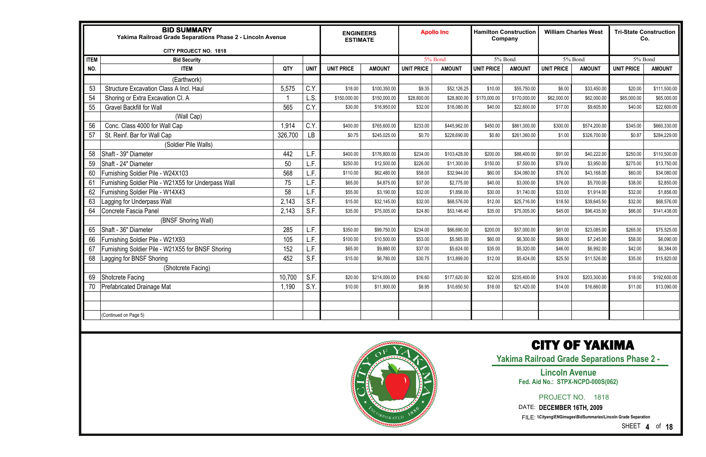|             | <b>BID SUMMARY</b><br>Yakima Railroad Grade Separations Phase 2 - Lincoln Avenue<br>CITY PROJECT NO. 1818 |         |             | <b>ENGINEERS</b><br><b>ESTIMATE</b> |               |                   | <b>Apollo Inc</b> |                   | <b>Hamilton Construction</b><br>Company |                   | <b>William Charles West</b> | Co.               | <b>Tri-State Construction</b> |
|-------------|-----------------------------------------------------------------------------------------------------------|---------|-------------|-------------------------------------|---------------|-------------------|-------------------|-------------------|-----------------------------------------|-------------------|-----------------------------|-------------------|-------------------------------|
| <b>ITEM</b> | <b>Bid Security</b>                                                                                       |         |             |                                     |               |                   | 5% Bond           |                   | 5% Bond                                 |                   | 5% Bond                     | 5% Bond           |                               |
| NO.         | <b>ITEM</b>                                                                                               | QTY     | <b>UNIT</b> | <b>UNIT PRICE</b>                   | <b>AMOUNT</b> | <b>UNIT PRICE</b> | <b>AMOUNT</b>     | <b>UNIT PRICE</b> | <b>AMOUNT</b>                           | <b>UNIT PRICE</b> | <b>AMOUNT</b>               | <b>UNIT PRICE</b> | <b>AMOUNT</b>                 |
|             | (Earthwork)                                                                                               |         |             |                                     |               |                   |                   |                   |                                         |                   |                             |                   |                               |
| 53          | Structure Excavation Class A Incl. Haul                                                                   | 5,575   | C.Y         | \$18.00                             | \$100,350.00  | \$9.35            | \$52,126.25       | \$10.00           | \$55,750.00                             | \$6.00            | \$33,450.00                 | \$20.00           | \$111,500.00                  |
| 54          | Shoring or Extra Excavation Cl. A                                                                         |         | L.S.        | \$150,000.00                        | \$150,000.00  | \$28,800.00       | \$28,800.00       | \$170,000.00      | \$170,000.00                            | \$62,000.00       | \$62,000.00                 | \$65,000.00       | \$65,000.00                   |
| 55          | <b>Gravel Backfill for Wall</b>                                                                           | 565     | C.Y         | \$30.00                             | \$16,950.00   | \$32.00           | \$18,080.00       | \$40.00           | \$22,600.00                             | \$17.00           | \$9,605.00                  | \$40.00           | \$22,600.00                   |
|             | (Wall Cap)                                                                                                |         |             |                                     |               |                   |                   |                   |                                         |                   |                             |                   |                               |
| 56          | Conc. Class 4000 for Wall Cap                                                                             | 1,914   | C.Y         | \$400.00                            | \$765,600.00  | \$233.00          | \$445,962.00      | \$450.00          | \$861,300.00                            | \$300.00          | \$574,200.00                | \$345.00          | \$660,330.00                  |
| 57          | St. Reinf. Bar for Wall Cap                                                                               | 326,700 | LB          | \$0.75                              | \$245,025.00  | \$0.70            | \$228,690.00      | \$0.80            | \$261,360.00                            | \$1.00            | \$326,700.00                | \$0.87            | \$284,229.00                  |
|             | (Soldier Pile Walls)                                                                                      |         |             |                                     |               |                   |                   |                   |                                         |                   |                             |                   |                               |
| 58          | Shaft - 39" Diameter                                                                                      | 442     | L.F.        | \$400.00                            | \$176,800.00  | \$234.00          | \$103,428.00      | \$200.00          | \$88,400.00                             | \$91.00           | \$40,222.00                 | \$250.00          | \$110,500.00                  |
| 59          | Shaft - 24" Diameter                                                                                      | 50      | L.F.        | \$250.00                            | \$12,500.00   | \$226.00          | \$11,300.00       | \$150.00          | \$7,500.00                              | \$79.00           | \$3,950.00                  | \$275.00          | \$13,750.00                   |
| 60          | Furnishing Soldier Pile - W24X103                                                                         | 568     | L.F.        | \$110.00                            | \$62,480.00   | \$58.00           | \$32,944.00       | \$60.00           | \$34,080.00                             | \$76.00           | \$43,168.00                 | \$60.00           | \$34,080.00                   |
| 61          | Furnishing Soldier Pile - W21X55 for Underpass Wall                                                       | 75      | L.F.        | \$65.00                             | \$4,875.00    | \$37.00           | \$2,775.00        | \$40.00           | \$3,000.00                              | \$76.00           | \$5,700.00                  | \$38.00           | \$2,850.00                    |
| 62          | Furnishing Soldier Pile - W14X43                                                                          | 58      | L.F.        | \$55.00                             | \$3,190.00    | \$32.00           | \$1,856.00        | \$30.00           | \$1,740.00                              | \$33.00           | \$1,914.00                  | \$32.00           | \$1,856.00                    |
| 63          | Lagging for Underpass Wall                                                                                | 2,143   | S.F.        | \$15.00                             | \$32,145.00   | \$32.00           | \$68,576.00       | \$12.00           | \$25,716.00                             | \$18.50           | \$39,645.50                 | \$32.00           | \$68,576.00                   |
| 64          | Concrete Fascia Panel                                                                                     | 2,143   | S.F.        | \$35.00                             | \$75,005.00   | \$24.80           | \$53,146.40       | \$35.00           | \$75,005.00                             | \$45.00           | \$96,435.00                 | \$66.00           | \$141,438.00                  |
|             | (BNSF Shoring Wall)                                                                                       |         |             |                                     |               |                   |                   |                   |                                         |                   |                             |                   |                               |
| 65          | Shaft - 36" Diameter                                                                                      | 285     | L.F.        | \$350.00                            | \$99,750.00   | \$234.00          | \$66,690.00       | \$200.00          | \$57,000.00                             | \$81.00           | \$23,085.00                 | \$265.00          | \$75,525.00                   |
| 66          | Furnishing Soldier Pile - W21X93                                                                          | 105     | L.F.        | \$100.00                            | \$10,500.00   | \$53.00           | \$5,565.00        | \$60.00           | \$6,300.00                              | \$69.00           | \$7,245.00                  | \$58.00           | \$6,090.00                    |
| 67          | Furnishing Soldier Pile - W21X55 for BNSF Shoring                                                         | 152     | L.F.        | \$65.00                             | \$9,880.00    | \$37.00           | \$5,624.00        | \$35.00           | \$5,320.00                              | \$46.00           | \$6,992.00                  | \$42.00           | \$6,384.00                    |
| 68          | Lagging for BNSF Shoring                                                                                  | 452     | S.F.        | \$15.00                             | \$6,780.00    | \$30.75           | \$13,899.00       | \$12.00           | \$5,424.00                              | \$25.50           | \$11,526.00                 | \$35.00           | \$15,820.00                   |
|             | (Shotcrete Facing)                                                                                        |         |             |                                     |               |                   |                   |                   |                                         |                   |                             |                   |                               |
| 69          | Shotcrete Facing                                                                                          | 10,700  | S.F.        | \$20.00                             | \$214,000.00  | \$16.60           | \$177,620.00      | \$22.00           | \$235,400.00                            | \$19.00           | \$203,300.00                | \$18.00           | \$192,600.00                  |
| 70          | <b>Prefabricated Drainage Mat</b>                                                                         | 1,190   | S.Y.        | \$10.00                             | \$11,900.00   | \$8.95            | \$10,650.50       | \$18.00           | \$21,420.00                             | \$14.00           | \$16,660.00                 | \$11.00           | \$13,090.00                   |
|             |                                                                                                           |         |             |                                     |               |                   |                   |                   |                                         |                   |                             |                   |                               |
|             |                                                                                                           |         |             |                                     |               |                   |                   |                   |                                         |                   |                             |                   |                               |
|             | (Continued on Page 5)                                                                                     |         |             |                                     |               |                   |                   |                   |                                         |                   |                             |                   |                               |
|             |                                                                                                           |         |             |                                     |               |                   |                   |                   |                                         |                   |                             |                   |                               |



SHEET **4** of **18**

### CITY OF YAKIMA

**Yakima Railroad Grade Separations Phase 2 -** 

PROJECT NO. 1818

#### **Lincoln Avenue Fed. Aid No.: STPX-NCPD-000S(062)**

DATE: **DECEMBER 16TH, 2009**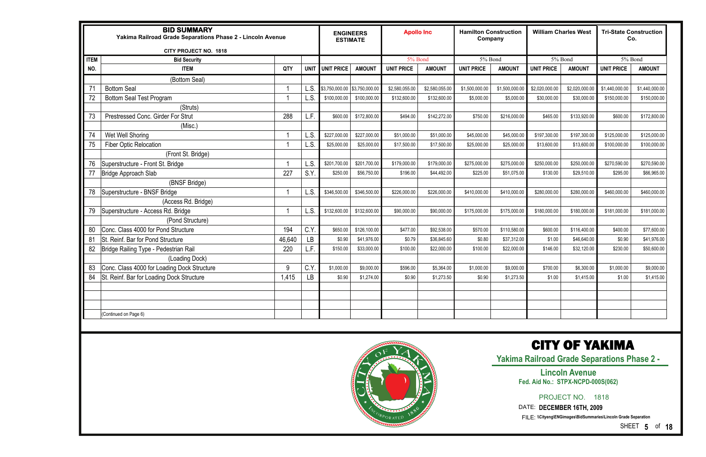|             | <b>BID SUMMARY</b><br>Yakima Railroad Grade Separations Phase 2 - Lincoln Avenue<br>CITY PROJECT NO. 1818 |        |           | <b>ENGINEERS</b><br><b>ESTIMATE</b> |                | <b>Apollo Inc</b> |                | <b>Hamilton Construction</b><br>Company |                |                   | <b>William Charles West</b> | Co.               | <b>Tri-State Construction</b> |
|-------------|-----------------------------------------------------------------------------------------------------------|--------|-----------|-------------------------------------|----------------|-------------------|----------------|-----------------------------------------|----------------|-------------------|-----------------------------|-------------------|-------------------------------|
| <b>ITEM</b> | <b>Bid Security</b>                                                                                       |        |           |                                     |                | 5% Bond           |                | 5% Bond                                 |                |                   | 5% Bond                     | 5% Bond           |                               |
| NO.         | <b>ITEM</b>                                                                                               | QTY    | UNIT      | <b>UNIT PRICE</b>                   | <b>AMOUNT</b>  | <b>UNIT PRICE</b> | <b>AMOUNT</b>  | <b>UNIT PRICE</b>                       | <b>AMOUNT</b>  | <b>UNIT PRICE</b> | <b>AMOUNT</b>               | <b>UNIT PRICE</b> | <b>AMOUNT</b>                 |
|             | (Bottom Seal)                                                                                             |        |           |                                     |                |                   |                |                                         |                |                   |                             |                   |                               |
| 71          | <b>Bottom Seal</b>                                                                                        |        | .S        | \$3,750,000.00                      | \$3,750,000.00 | \$2,580,055.00    | \$2,580,055.00 | \$1,500,000.00                          | \$1,500,000.00 | \$2,020,000.00    | \$2,020,000.00              | \$1,440,000.00    | \$1,440,000.00                |
| 72          | <b>Bottom Seal Test Program</b>                                                                           |        | S.        | \$100,000.00                        | \$100,000.00   | \$132,600.00      | \$132,600.00   | \$5,000.00                              | \$5,000.00     | \$30,000.00       | \$30,000.00                 | \$150,000.00      | \$150,000.00                  |
|             | (Struts)                                                                                                  |        |           |                                     |                |                   |                |                                         |                |                   |                             |                   |                               |
| 73          | Prestressed Conc. Girder For Strut                                                                        | 288    | L.F.      | \$600.00                            | \$172,800.00   | \$494.00          | \$142,272.00   | \$750.00                                | \$216,000.00   | \$465.00          | \$133,920.00                | \$600.00          | \$172,800.00                  |
|             | (Misc.)                                                                                                   |        |           |                                     |                |                   |                |                                         |                |                   |                             |                   |                               |
| 74          | Wet Well Shoring                                                                                          |        | L.S.      | \$227,000.00                        | \$227,000.00   | \$51,000.00       | \$51,000.00    | \$45,000.00                             | \$45,000.00    | \$197,300.00      | \$197,300.00                | \$125,000.00      | \$125,000.00                  |
| 75          | <b>Fiber Optic Relocation</b>                                                                             |        | .S.       | \$25,000.00                         | \$25,000.00    | \$17,500.00       | \$17,500.00    | \$25,000.00                             | \$25,000.00    | \$13,600.00       | \$13,600.00                 | \$100,000.00      | \$100,000.00                  |
|             | (Front St. Bridge)                                                                                        |        |           |                                     |                |                   |                |                                         |                |                   |                             |                   |                               |
| 76          | Superstructure - Front St. Bridge                                                                         |        | S.        | \$201,700.00                        | \$201,700.00   | \$179,000.00      | \$179,000.00   | \$275,000.00                            | \$275,000.00   | \$250,000.00      | \$250,000.00                | \$270,590.00      | \$270,590.00                  |
| 77          | Bridge Approach Slab                                                                                      | 227    | S.Y.      | \$250.00                            | \$56,750.00    | \$196.00          | \$44,492.00    | \$225.00                                | \$51,075.00    | \$130.00          | \$29,510.00                 | \$295.00          | \$66,965.00                   |
|             | (BNSF Bridge)                                                                                             |        |           |                                     |                |                   |                |                                         |                |                   |                             |                   |                               |
| 78          | Superstructure - BNSF Bridge                                                                              |        | L.S.      | \$346,500.00                        | \$346,500.00   | \$226,000.00      | \$226,000.00   | \$410,000.00                            | \$410,000.00   | \$280,000.00      | \$280,000.00                | \$460,000.00      | \$460,000.00                  |
|             | (Access Rd. Bridge)                                                                                       |        |           |                                     |                |                   |                |                                         |                |                   |                             |                   |                               |
| 79          | Superstructure - Access Rd. Bridge                                                                        |        | L.S.      | \$132,600.00                        | \$132,600.00   | \$90,000.00       | \$90,000.00    | \$175,000.00                            | \$175,000.00   | \$180,000.00      | \$180,000.00                | \$181,000.00      | \$181,000.00                  |
|             | (Pond Structure)                                                                                          |        |           |                                     |                |                   |                |                                         |                |                   |                             |                   |                               |
| 80          | Conc. Class 4000 for Pond Structure                                                                       | 194    | C.Y.      | \$650.00                            | \$126,100.00   | \$477.00          | \$92,538.00    | \$570.00                                | \$110,580.00   | \$600.00          | \$116,400.00                | \$400.00          | \$77,600.00                   |
| 81          | St. Reinf. Bar for Pond Structure                                                                         | 46,640 | <b>LB</b> | \$0.90                              | \$41,976.00    | \$0.79            | \$36,845.60    | \$0.80                                  | \$37,312.00    | \$1.00            | \$46,640.00                 | \$0.90            | \$41,976.00                   |
| 82          | Bridge Railing Type - Pedestrian Rail                                                                     | 220    | F.        | \$150.00                            | \$33,000.00    | \$100.00          | \$22,000.00    | \$100.00                                | \$22,000.00    | \$146.00          | \$32,120.00                 | \$230.00          | \$50,600.00                   |
|             | (Loading Dock)                                                                                            |        |           |                                     |                |                   |                |                                         |                |                   |                             |                   |                               |
| 83          | Conc. Class 4000 for Loading Dock Structure                                                               | 9      | C.Y       | \$1,000.00                          | \$9,000.00     | \$596.00          | \$5,364.00     | \$1,000.00                              | \$9,000.00     | \$700.00          | \$6,300.00                  | \$1,000.00        | \$9,000.00                    |
| 84          | St. Reinf. Bar for Loading Dock Structure                                                                 | 1,415  | LB        | \$0.90                              | \$1,274.00     | \$0.90            | \$1,273.50     | \$0.90                                  | \$1,273.50     | \$1.00            | \$1,415.00                  | \$1.00            | \$1,415.00                    |
|             |                                                                                                           |        |           |                                     |                |                   |                |                                         |                |                   |                             |                   |                               |
|             |                                                                                                           |        |           |                                     |                |                   |                |                                         |                |                   |                             |                   |                               |
|             |                                                                                                           |        |           |                                     |                |                   |                |                                         |                |                   |                             |                   |                               |
|             | (Continued on Page 6)                                                                                     |        |           |                                     |                |                   |                |                                         |                |                   |                             |                   |                               |
|             |                                                                                                           |        |           |                                     |                |                   |                |                                         |                |                   |                             |                   |                               |
|             |                                                                                                           |        |           |                                     |                |                   |                |                                         |                |                   |                             |                   |                               |



SHEET **5** of **18**

### CITY OF YAKIMA

**Yakima Railroad Grade Separations Phase 2 -** 

PROJECT NO. 1818

#### **Lincoln Avenue Fed. Aid No.: STPX-NCPD-000S(062)**

DATE: **DECEMBER 16TH, 2009**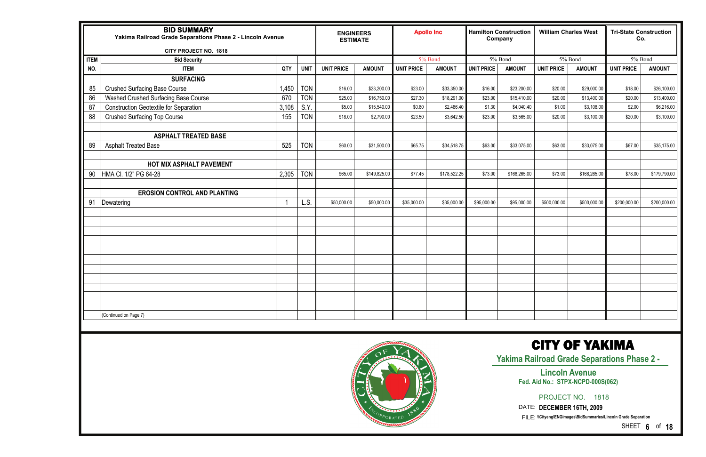|                                                                                                                                           | <b>BID SUMMARY</b><br>Yakima Railroad Grade Separations Phase 2 - Lincoln Avenue<br><b>CITY PROJECT NO. 1818</b><br><b>ITEM</b><br><b>Bid Security</b><br>NO.<br><b>ITEM</b><br><b>SURFACING</b><br>85<br><b>Crushed Surfacing Base Course</b><br>86<br>Washed Crushed Surfacing Base Course<br>87<br><b>Construction Geotextile for Separation</b><br>88<br><b>Crushed Surfacing Top Course</b><br><b>ASPHALT TREATED BASE</b><br>89<br><b>Asphalt Treated Base</b><br>HOT MIX ASPHALT PAVEMENT |       |             | <b>ENGINEERS</b><br><b>ESTIMATE</b> |               |                   | <b>Apollo Inc</b> |                   | <b>Hamilton Construction</b><br>Company |                   | <b>William Charles West</b> | <b>Tri-State Construction</b><br>Co. |               |
|-------------------------------------------------------------------------------------------------------------------------------------------|--------------------------------------------------------------------------------------------------------------------------------------------------------------------------------------------------------------------------------------------------------------------------------------------------------------------------------------------------------------------------------------------------------------------------------------------------------------------------------------------------|-------|-------------|-------------------------------------|---------------|-------------------|-------------------|-------------------|-----------------------------------------|-------------------|-----------------------------|--------------------------------------|---------------|
|                                                                                                                                           |                                                                                                                                                                                                                                                                                                                                                                                                                                                                                                  |       |             |                                     |               |                   | 5% Bond           |                   | 5% Bond                                 |                   | 5% Bond                     | 5% Bond                              |               |
|                                                                                                                                           |                                                                                                                                                                                                                                                                                                                                                                                                                                                                                                  | QTY   | <b>UNIT</b> | <b>UNIT PRICE</b>                   | <b>AMOUNT</b> | <b>UNIT PRICE</b> | <b>AMOUNT</b>     | <b>UNIT PRICE</b> | <b>AMOUNT</b>                           | <b>UNIT PRICE</b> | <b>AMOUNT</b>               | <b>UNIT PRICE</b>                    | <b>AMOUNT</b> |
|                                                                                                                                           |                                                                                                                                                                                                                                                                                                                                                                                                                                                                                                  |       |             |                                     |               |                   |                   |                   |                                         |                   |                             |                                      |               |
|                                                                                                                                           |                                                                                                                                                                                                                                                                                                                                                                                                                                                                                                  | 1,450 | <b>TON</b>  | \$16.00                             | \$23,200.00   | \$23.00           | \$33,350.00       | \$16.00           | \$23,200.00                             | \$20.00           | \$29,000.00                 | \$18.00                              | \$26,100.00   |
|                                                                                                                                           |                                                                                                                                                                                                                                                                                                                                                                                                                                                                                                  | 670   | <b>TON</b>  | \$25.00                             | \$16,750.00   | \$27.30           | \$18,291.00       | \$23.00           | \$15,410.00                             | \$20.00           | \$13,400.00                 | \$20.00                              | \$13,400.00   |
|                                                                                                                                           |                                                                                                                                                                                                                                                                                                                                                                                                                                                                                                  | 3,108 | S.Y.        | \$5.00                              | \$15,540.00   | \$0.80            | \$2,486.40        | \$1.30            | \$4,040.40                              | \$1.00            | \$3,108.00                  | \$2.00                               | \$6,216.00    |
|                                                                                                                                           |                                                                                                                                                                                                                                                                                                                                                                                                                                                                                                  | 155   | <b>TON</b>  | \$18.00                             | \$2,790.00    | \$23.50           | \$3,642.50        | \$23.00           | \$3,565.00                              | \$20.00           | \$3,100.00                  | \$20.00                              | \$3,100.00    |
|                                                                                                                                           |                                                                                                                                                                                                                                                                                                                                                                                                                                                                                                  |       |             |                                     |               |                   |                   |                   |                                         |                   |                             |                                      |               |
|                                                                                                                                           |                                                                                                                                                                                                                                                                                                                                                                                                                                                                                                  |       |             |                                     |               |                   |                   |                   |                                         |                   |                             |                                      |               |
|                                                                                                                                           |                                                                                                                                                                                                                                                                                                                                                                                                                                                                                                  | 525   | <b>TON</b>  | \$60.00                             | \$31,500.00   | \$65.75           | \$34,518.75       | \$63.00           | \$33,075.00                             | \$63.00           | \$33,075.00                 | \$67.00                              | \$35,175.00   |
|                                                                                                                                           |                                                                                                                                                                                                                                                                                                                                                                                                                                                                                                  |       |             |                                     |               |                   |                   |                   |                                         |                   |                             |                                      |               |
|                                                                                                                                           |                                                                                                                                                                                                                                                                                                                                                                                                                                                                                                  |       |             |                                     |               |                   |                   |                   |                                         |                   |                             |                                      |               |
| 90                                                                                                                                        | HMA CI. 1/2" PG 64-28                                                                                                                                                                                                                                                                                                                                                                                                                                                                            | 2,305 | <b>TON</b>  | \$65.00                             | \$149,825.00  | \$77.45           | \$178,522.25      | \$73.00           | \$168,265.00                            | \$73.00           | \$168,265.00                | \$78.00                              | \$179,790.00  |
|                                                                                                                                           |                                                                                                                                                                                                                                                                                                                                                                                                                                                                                                  |       |             |                                     |               |                   |                   |                   |                                         |                   |                             |                                      |               |
|                                                                                                                                           | <b>EROSION CONTROL AND PLANTING</b><br>Dewatering                                                                                                                                                                                                                                                                                                                                                                                                                                                |       |             |                                     |               |                   |                   |                   |                                         |                   |                             |                                      |               |
| 91                                                                                                                                        |                                                                                                                                                                                                                                                                                                                                                                                                                                                                                                  |       | L.S.        | \$50,000.00                         | \$50,000.00   | \$35,000.00       | \$35,000.00       | \$95,000.00       | \$95,000.00                             | \$500,000.00      | \$500,000.00                | \$200,000.00                         | \$200,000.00  |
|                                                                                                                                           |                                                                                                                                                                                                                                                                                                                                                                                                                                                                                                  |       |             |                                     |               |                   |                   |                   |                                         |                   |                             |                                      |               |
|                                                                                                                                           |                                                                                                                                                                                                                                                                                                                                                                                                                                                                                                  |       |             |                                     |               |                   |                   |                   |                                         |                   |                             |                                      |               |
|                                                                                                                                           |                                                                                                                                                                                                                                                                                                                                                                                                                                                                                                  |       |             |                                     |               |                   |                   |                   |                                         |                   |                             |                                      |               |
|                                                                                                                                           |                                                                                                                                                                                                                                                                                                                                                                                                                                                                                                  |       |             |                                     |               |                   |                   |                   |                                         |                   |                             |                                      |               |
|                                                                                                                                           |                                                                                                                                                                                                                                                                                                                                                                                                                                                                                                  |       |             |                                     |               |                   |                   |                   |                                         |                   |                             |                                      |               |
|                                                                                                                                           |                                                                                                                                                                                                                                                                                                                                                                                                                                                                                                  |       |             |                                     |               |                   |                   |                   |                                         |                   |                             |                                      |               |
|                                                                                                                                           |                                                                                                                                                                                                                                                                                                                                                                                                                                                                                                  |       |             |                                     |               |                   |                   |                   |                                         |                   |                             |                                      |               |
|                                                                                                                                           |                                                                                                                                                                                                                                                                                                                                                                                                                                                                                                  |       |             |                                     |               |                   |                   |                   |                                         |                   |                             |                                      |               |
|                                                                                                                                           |                                                                                                                                                                                                                                                                                                                                                                                                                                                                                                  |       |             |                                     |               |                   |                   |                   |                                         |                   |                             |                                      |               |
|                                                                                                                                           |                                                                                                                                                                                                                                                                                                                                                                                                                                                                                                  |       |             |                                     |               |                   |                   |                   |                                         |                   |                             |                                      |               |
|                                                                                                                                           | (Continued on Page 7)                                                                                                                                                                                                                                                                                                                                                                                                                                                                            |       |             |                                     |               |                   |                   |                   |                                         |                   |                             |                                      |               |
|                                                                                                                                           |                                                                                                                                                                                                                                                                                                                                                                                                                                                                                                  |       |             |                                     |               |                   |                   |                   |                                         |                   |                             |                                      |               |
| <b>CITY OF YAKIMA</b><br><b>Yakima Railroad Grade Separations Phase 2 -</b><br><b>Lincoln Avenue</b><br>Fed. Aid No.: STPX-NCPD-000S(062) |                                                                                                                                                                                                                                                                                                                                                                                                                                                                                                  |       |             |                                     |               |                   |                   |                   |                                         |                   |                             |                                      |               |

 $P$ or at en

SHEET **6** of **18**

PROJECT NO. 1818

DATE: **DECEMBER 16TH, 2009**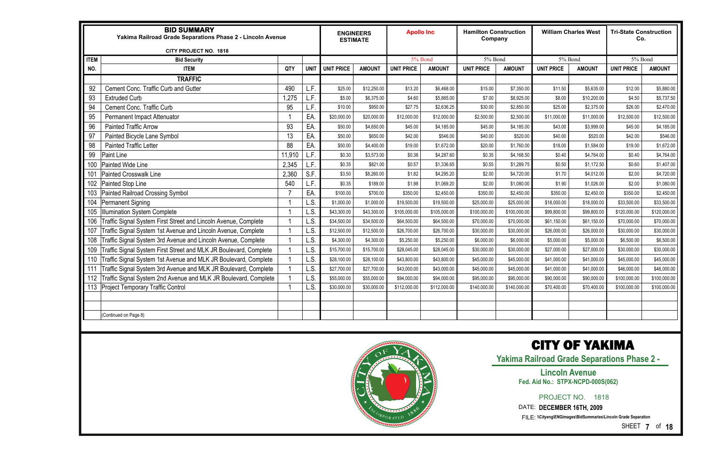|             | <b>BID SUMMARY</b><br>Yakima Railroad Grade Separations Phase 2 - Lincoln Avenue<br><b>CITY PROJECT NO. 1818</b> |        |             |                   | <b>ENGINEERS</b><br><b>ESTIMATE</b> | <b>Apollo Inc</b> |               | <b>Hamilton Construction</b><br>Company |               |                   | <b>William Charles West</b> | <b>Tri-State Construction</b><br>Co. |               |
|-------------|------------------------------------------------------------------------------------------------------------------|--------|-------------|-------------------|-------------------------------------|-------------------|---------------|-----------------------------------------|---------------|-------------------|-----------------------------|--------------------------------------|---------------|
| <b>ITEM</b> | <b>Bid Security</b>                                                                                              |        |             |                   |                                     | 5% Bond           |               | 5% Bond                                 |               |                   | 5% Bond                     | 5% Bond                              |               |
| NO.         | <b>ITEM</b>                                                                                                      | QTY    | <b>UNIT</b> | <b>UNIT PRICE</b> | <b>AMOUNT</b>                       | <b>UNIT PRICE</b> | <b>AMOUNT</b> | <b>UNIT PRICE</b>                       | <b>AMOUNT</b> | <b>UNIT PRICE</b> | <b>AMOUNT</b>               | <b>UNIT PRICE</b>                    | <b>AMOUNT</b> |
|             | <b>TRAFFIC</b>                                                                                                   |        |             |                   |                                     |                   |               |                                         |               |                   |                             |                                      |               |
| 92          | Cement Conc. Traffic Curb and Gutter                                                                             | 490    | L.F.        | \$25.00           | \$12,250.00                         | \$13.20           | \$6,468.00    | \$15.00                                 | \$7,350.00    | \$11.50           | \$5,635.00                  | \$12.00                              | \$5,880.00    |
| 93          | <b>Extruded Curb</b>                                                                                             | .275   | L.F.        | \$5.00            | \$6,375.00                          | \$4.60            | \$5,865.00    | \$7.00                                  | \$8,925.00    | \$8.00            | \$10,200.00                 | \$4.50                               | \$5,737.50    |
| 94          | Cement Conc. Traffic Curb                                                                                        | 95     | L.F.        | \$10.00           | \$950.00                            | \$27.75           | \$2,636.25    | \$30.00                                 | \$2,850.00    | \$25.00           | \$2,375.00                  | \$26.00                              | \$2,470.00    |
| 95          | Permanent Impact Attenuator                                                                                      |        | EA          | \$20,000.00       | \$20,000.00                         | \$12,000.00       | \$12,000.00   | \$2,500.00                              | \$2,500.00    | \$11,000.00       | \$11,000.00                 | \$12,500.00                          | \$12,500.00   |
| 96          | <b>Painted Traffic Arrow</b>                                                                                     | 93     | EA          | \$50.00           | \$4,650.00                          | \$45.00           | \$4,185.00    | \$45.00                                 | \$4,185.00    | \$43.00           | \$3,999.00                  | \$45.00                              | \$4,185.00    |
| 97          | Painted Bicycle Lane Symbol                                                                                      | 13     | EA.         | \$50.00           | \$650.00                            | \$42.00           | \$546.00      | \$40.00                                 | \$520.00      | \$40.00           | \$520.00                    | \$42.00                              | \$546.00      |
| 98          | <b>Painted Traffic Letter</b>                                                                                    | 88     | EA.         | \$50.00           | \$4,400.00                          | \$19.00           | \$1,672.00    | \$20.00                                 | \$1,760.00    | \$18.00           | \$1,584.00                  | \$19.00                              | \$1,672.00    |
| 99          | Paint Line                                                                                                       | 11,910 | L.F.        | \$0.30            | \$3,573.00                          | \$0.36            | \$4,287.60    | \$0.35                                  | \$4,168.50    | \$0.40            | \$4,764.00                  | \$0.40                               | \$4,764.00    |
| 100         | Painted Wide Line                                                                                                | 2,345  | L.F.        | \$0.35            | \$821.00                            | \$0.57            | \$1,336.65    | \$0.55                                  | \$1,289.75    | \$0.50            | \$1,172.50                  | \$0.60                               | \$1,407.00    |
| 101         | <b>Painted Crosswalk Line</b>                                                                                    | 2,360  | S.F.        | \$3.50            | \$8,260.00                          | \$1.82            | \$4,295.20    | \$2.00                                  | \$4,720.00    | \$1.70            | \$4,012.00                  | \$2.00                               | \$4,720.00    |
| 102         | Painted Stop Line                                                                                                | 540    | L.F.        | \$0.35            | \$189.00                            | \$1.98            | \$1,069.20    | \$2.00                                  | \$1,080.00    | \$1.90            | \$1,026.00                  | \$2.00                               | \$1,080.00    |
| 103         | <b>Painted Railroad Crossing Symbol</b>                                                                          | -7     | EA          | \$100.00          | \$700.00                            | \$350.00          | \$2,450.00    | \$350.00                                | \$2,450.00    | \$350.00          | \$2,450.00                  | \$350.00                             | \$2,450.00    |
| 104         | Permanent Signing                                                                                                |        | L.S.        | \$1,000.00        | \$1,000.00                          | \$19,500.00       | \$19,500.00   | \$25,000.00                             | \$25,000.00   | \$18,000.00       | \$18,000.00                 | \$33,500.00                          | \$33,500.00   |
| 105         | <b>Illumination System Complete</b>                                                                              |        | L.S.        | \$43,300.00       | \$43,300.00                         | \$105,000.00      | \$105,000.00  | \$100,000.00                            | \$100,000.00  | \$99,800.00       | \$99,800.00                 | \$120,000.00                         | \$120,000.00  |
| 106         | Traffic Signal System First Street and Lincoln Avenue, Complete                                                  |        | L.S.        | \$34,500.00       | \$34,500.00                         | \$64,500.00       | \$64,500.00   | \$70,000.00                             | \$70,000.00   | \$61,150.00       | \$61,150.00                 | \$70,000.00                          | \$70,000.00   |
| 107         | Traffic Signal System 1st Avenue and Lincoln Avenue, Complete                                                    |        | L.S.        | \$12,500.00       | \$12,500.00                         | \$26,700.00       | \$26,700.00   | \$30,000.00                             | \$30,000.00   | \$26,000.00       | \$26,000.00                 | \$30,000.00                          | \$30,000.00   |
| 108         | Fraffic Signal System 3rd Avenue and Lincoln Avenue, Complete                                                    |        | L.S.        | \$4,300.00        | \$4,300.00                          | \$5,250.00        | \$5,250.00    | \$6,000.00                              | \$6,000.00    | \$5,000.00        | \$5,000.00                  | \$6,500.00                           | \$6,500.00    |
| 109         | Traffic Signal System First Street and MLK JR Boulevard, Complete                                                |        | L.S.        | \$15,700.00       | \$15,700.00                         | \$28,045.00       | \$28,045.00   | \$30,000.00                             | \$30,000.00   | \$27,000.00       | \$27,000.00                 | \$30,000.00                          | \$30,000.00   |
| 110         | Traffic Signal System 1st Avenue and MLK JR Boulevard, Complete                                                  |        | L.S.        | \$28,100.00       | \$28,100.00                         | \$43,800.00       | \$43,800.00   | \$45,000.00                             | \$45,000.00   | \$41,000.00       | \$41,000.00                 | \$45,000.00                          | \$45,000.00   |
| 111         | Traffic Signal System 3rd Avenue and MLK JR Boulevard, Complete                                                  |        | L.S.        | \$27,700.00       | \$27,700.00                         | \$43,000.00       | \$43,000.00   | \$45,000.00                             | \$45,000.00   | \$41,000.00       | \$41,000.00                 | \$46,000.00                          | \$46,000.00   |
| 112         | Traffic Signal System 2nd Avenue and MLK JR Boulevard, Complete                                                  |        | L.S.        | \$55,000.00       | \$55,000.00                         | \$94,000.00       | \$94,000.00   | \$95,000.00                             | \$95,000.00   | \$90,000.00       | \$90,000.00                 | \$100,000.00                         | \$100,000.00  |
| 113         | <b>Project Temporary Traffic Control</b>                                                                         |        | L.S.        | \$30,000.00       | \$30,000.00                         | \$112,000.00      | \$112,000.00  | \$140,000.00                            | \$140,000.00  | \$70,400.00       | \$70,400.00                 | \$100,000.00                         | \$100,000.00  |
|             |                                                                                                                  |        |             |                   |                                     |                   |               |                                         |               |                   |                             |                                      |               |
|             |                                                                                                                  |        |             |                   |                                     |                   |               |                                         |               |                   |                             |                                      |               |
|             | (Continued on Page 8)                                                                                            |        |             |                   |                                     |                   |               |                                         |               |                   |                             |                                      |               |



SHEET **7** of **18**

### CITY OF YAKIMA

**Yakima Railroad Grade Separations Phase 2 -** 

PROJECT NO. 1818

#### **Lincoln Avenue Fed. Aid No.: STPX-NCPD-000S(062)**

DATE: **DECEMBER 16TH, 2009**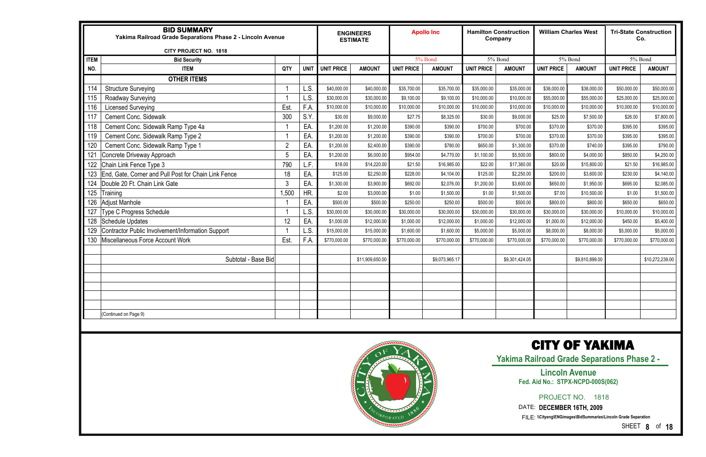|             | <b>BID SUMMARY</b><br>Yakima Railroad Grade Separations Phase 2 - Lincoln Avenue<br>CITY PROJECT NO. 1818 |                |             |                   | <b>ENGINEERS</b><br><b>ESTIMATE</b> |                   | <b>Apollo Inc</b> |                   | <b>Hamilton Construction</b><br>Company |                   | <b>William Charles West</b> |                   | <b>Tri-State Construction</b><br>Co. |
|-------------|-----------------------------------------------------------------------------------------------------------|----------------|-------------|-------------------|-------------------------------------|-------------------|-------------------|-------------------|-----------------------------------------|-------------------|-----------------------------|-------------------|--------------------------------------|
| <b>ITEM</b> | <b>Bid Security</b>                                                                                       |                |             |                   |                                     |                   | 5% Bond           |                   | 5% Bond                                 |                   | 5% Bond                     |                   | 5% Bond                              |
| NO.         | <b>ITEM</b>                                                                                               | QTY            | <b>UNIT</b> | <b>UNIT PRICE</b> | <b>AMOUNT</b>                       | <b>UNIT PRICE</b> | <b>AMOUNT</b>     | <b>UNIT PRICE</b> | <b>AMOUNT</b>                           | <b>UNIT PRICE</b> | <b>AMOUNT</b>               | <b>UNIT PRICE</b> | <b>AMOUNT</b>                        |
|             | <b>OTHER ITEMS</b>                                                                                        |                |             |                   |                                     |                   |                   |                   |                                         |                   |                             |                   |                                      |
| 114         | <b>Structure Surveying</b>                                                                                |                | L.S.        | \$40,000.00       | \$40,000.00                         | \$35,700.00       | \$35,700.00       | \$35,000.00       | \$35,000.00                             | \$38,000.00       | \$38,000.00                 | \$50,000.00       | \$50,000.00                          |
| 115         | Roadway Surveying                                                                                         |                | L.S.        | \$30,000.00       | \$30,000.00                         | \$9,100.00        | \$9,100.00        | \$10,000.00       | \$10,000.00                             | \$55,000.00       | \$55,000.00                 | \$25,000.00       | \$25,000.00                          |
| 116         | <b>Licensed Surveying</b>                                                                                 | Est.           | F.A         | \$10,000.00       | \$10,000.00                         | \$10,000.00       | \$10,000.00       | \$10,000.00       | \$10,000.00                             | \$10,000.00       | \$10,000.00                 | \$10,000.00       | \$10,000.00                          |
| 117         | <b>Cement Conc. Sidewalk</b>                                                                              | 300            | S.Y.        | \$30.00           | \$9,000.00                          | \$27.75           | \$8,325.00        | \$30.00           | \$9,000.00                              | \$25.00           | \$7,500.00                  | \$26.00           | \$7,800.00                           |
| 118         | Cement Conc. Sidewalk Ramp Type 4a                                                                        |                | EA.         | \$1,200.00        | \$1,200.00                          | \$390.00          | \$390.00          | \$700.00          | \$700.00                                | \$370.00          | \$370.00                    | \$395.00          | \$395.00                             |
| 119         | Cement Conc. Sidewalk Ramp Type 2                                                                         |                | EA.         | \$1,200.00        | \$1,200.00                          | \$390.00          | \$390.00          | \$700.00          | \$700.00                                | \$370.00          | \$370.00                    | \$395.00          | \$395.00                             |
| 120         | Cement Conc. Sidewalk Ramp Type 1                                                                         | $\overline{2}$ | EA.         | \$1,200.00        | \$2,400.00                          | \$390.00          | \$780.00          | \$650.00          | \$1,300.00                              | \$370.00          | \$740.00                    | \$395.00          | \$790.00                             |
| 121         | Concrete Driveway Approach                                                                                |                | EA.         | \$1,200.00        | \$6,000.00                          | \$954.00          | \$4,770.00        | \$1,100.00        | \$5,500.00                              | \$800.00          | \$4,000.00                  | \$850.00          | \$4,250.00                           |
| 122         | Chain Link Fence Type 3                                                                                   | 790            | L.F.        | \$18.00           | \$14,220.00                         | \$21.50           | \$16,985.00       | \$22.00           | \$17,380.00                             | \$20.00           | \$15,800.00                 | \$21.50           | \$16,985.00                          |
| 123         | End, Gate, Corner and Pull Post for Chain Link Fence                                                      | 18             | EA.         | \$125.00          | \$2,250.00                          | \$228.00          | \$4,104.00        | \$125.00          | \$2,250.00                              | \$200.00          | \$3,600.00                  | \$230.00          | \$4,140.00                           |
| 124         | Double 20 Ft. Chain Link Gate                                                                             | 3              | EA          | \$1,300.00        | \$3,900.00                          | \$692.00          | \$2,076.00        | \$1,200.00        | \$3,600.00                              | \$650.00          | \$1,950.00                  | \$695.00          | \$2,085.00                           |
| 125         | <b>Training</b>                                                                                           | 1,500          | HR.         | \$2.00            | \$3,000.00                          | \$1.00            | \$1,500.00        | \$1.00            | \$1,500.00                              | \$7.00            | \$10,500.00                 | \$1.00            | \$1,500.00                           |
| 126         | <b>Adjust Manhole</b>                                                                                     |                | EA.         | \$500.00          | \$500.00                            | \$250.00          | \$250.00          | \$500.00          | \$500.00                                | \$800.00          | \$800.00                    | \$650.00          | \$650.00                             |
| 127         | Type C Progress Schedule                                                                                  |                | L.S.        | \$30,000.00       | \$30,000.00                         | \$30,000.00       | \$30,000.00       | \$30,000.00       | \$30,000.00                             | \$30,000.00       | \$30,000.00                 | \$10,000.00       | \$10,000.00                          |
| 128         | <b>Schedule Updates</b>                                                                                   | 12             | EA.         | \$1,000.00        | \$12,000.00                         | \$1,000.00        | \$12,000.00       | \$1,000.00        | \$12,000.00                             | \$1,000.00        | \$12,000.00                 | \$450.00          | \$5,400.00                           |
| 129         | Contractor Public Involvement/Information Support                                                         |                | L.S.        | \$15,000.00       | \$15,000.00                         | \$1,600.00        | \$1,600.00        | \$5,000.00        | \$5,000.00                              | \$8,000.00        | \$8,000.00                  | \$5,000.00        | \$5,000.00                           |
| 130         | Miscellaneous Force Account Work                                                                          | Est.           | F.A         | \$770,000.00      | \$770,000.00                        | \$770,000.00      | \$770,000.00      | \$770,000.00      | \$770,000.00                            | \$770,000.00      | \$770,000.00                | \$770,000.00      | \$770,000.00                         |
|             |                                                                                                           |                |             |                   |                                     |                   |                   |                   |                                         |                   |                             |                   |                                      |
|             | Subtotal - Base Bid                                                                                       |                |             |                   | \$11,909,650.00                     |                   | \$9,073,965.17    |                   | \$9,301,424.05                          |                   | \$9,810,899.00              |                   | \$10,272,239.00                      |
|             |                                                                                                           |                |             |                   |                                     |                   |                   |                   |                                         |                   |                             |                   |                                      |
|             |                                                                                                           |                |             |                   |                                     |                   |                   |                   |                                         |                   |                             |                   |                                      |
|             |                                                                                                           |                |             |                   |                                     |                   |                   |                   |                                         |                   |                             |                   |                                      |
|             |                                                                                                           |                |             |                   |                                     |                   |                   |                   |                                         |                   |                             |                   |                                      |
|             |                                                                                                           |                |             |                   |                                     |                   |                   |                   |                                         |                   |                             |                   |                                      |
|             | (Continued on Page 9)                                                                                     |                |             |                   |                                     |                   |                   |                   |                                         |                   |                             |                   |                                      |



SHEET **8** of **18**

### CITY OF YAKIMA

**Yakima Railroad Grade Separations Phase 2 -** 

PROJECT NO. 1818

#### **Lincoln Avenue Fed. Aid No.: STPX-NCPD-000S(062)**

DATE: **DECEMBER 16TH, 2009**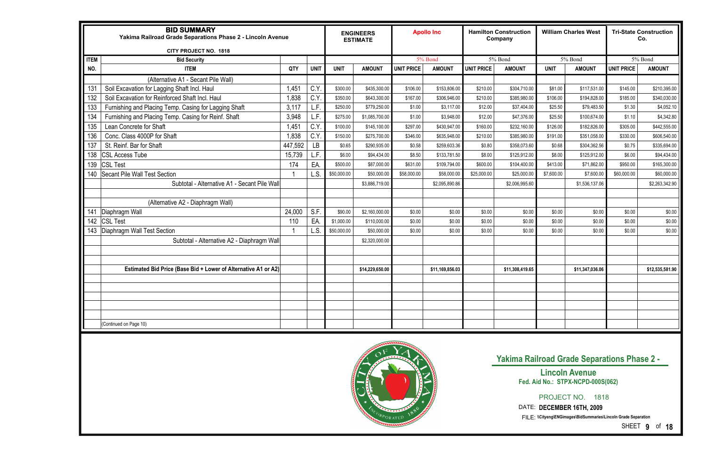#### **Yakima Railroad Grade Separations Phase 2 -**

## **Lincoln Avenue Fed. Aid No.: STPX-NCPD-000S(062)**

|             | <b>BID SUMMARY</b><br>Yakima Railroad Grade Separations Phase 2 - Lincoln Avenue<br><b>CITY PROJECT NO. 1818</b> |         |             |             | <b>ENGINEERS</b><br><b>ESTIMATE</b> |                   | <b>Apollo Inc</b> |                   | <b>Hamilton Construction</b><br>Company |             | <b>William Charles West</b> |                   | <b>Tri-State Construction</b><br>Co. |
|-------------|------------------------------------------------------------------------------------------------------------------|---------|-------------|-------------|-------------------------------------|-------------------|-------------------|-------------------|-----------------------------------------|-------------|-----------------------------|-------------------|--------------------------------------|
| <b>ITEM</b> | <b>Bid Security</b>                                                                                              |         |             |             |                                     |                   | 5% Bond           |                   | 5% Bond                                 |             | 5% Bond                     |                   | 5% Bond                              |
| NO.         | <b>ITEM</b>                                                                                                      | QTY     | <b>UNIT</b> | <b>UNIT</b> | <b>AMOUNT</b>                       | <b>UNIT PRICE</b> | <b>AMOUNT</b>     | <b>UNIT PRICE</b> | <b>AMOUNT</b>                           | <b>UNIT</b> | <b>AMOUNT</b>               | <b>UNIT PRICE</b> | <b>AMOUNT</b>                        |
|             | (Alternative A1 - Secant Pile Wall)                                                                              |         |             |             |                                     |                   |                   |                   |                                         |             |                             |                   |                                      |
| 131         | Soil Excavation for Lagging Shaft Incl. Haul                                                                     | 1,451   | C.Y         | \$300.00    | \$435,300.00                        | \$106.00          | \$153,806.00      | \$210.00          | \$304,710.00                            | \$81.00     | \$117,531.00                | \$145.00          | \$210,395.00                         |
| 132         | Soil Excavation for Reinforced Shaft Incl. Haul                                                                  | 1,838   | C.Y         | \$350.00    | \$643,300.00                        | \$167.00          | \$306,946.00      | \$210.00          | \$385,980.00                            | \$106.00    | \$194,828.00                | \$185.00          | \$340,030.00                         |
| 133         | Furnishing and Placing Temp. Casing for Lagging Shaft                                                            | 3,117   | L.F.        | \$250.00    | \$779,250.00                        | \$1.00            | \$3,117.00        | \$12.00           | \$37,404.00                             | \$25.50     | \$79,483.50                 | \$1.30            | \$4,052.10                           |
| 134         | Furnishing and Placing Temp. Casing for Reinf. Shaft                                                             | 3,948   | L.F.        | \$275.00    | \$1,085,700.00                      | \$1.00            | \$3,948.00        | \$12.00           | \$47,376.00                             | \$25.50     | \$100,674.00                | \$1.10            | \$4,342.80                           |
| 135         | Lean Concrete for Shaft                                                                                          | 1,451   | C.Y         | \$100.00    | \$145,100.00                        | \$297.00          | \$430,947.00      | \$160.00          | \$232,160.00                            | \$126.00    | \$182,826.00                | \$305.00          | \$442,555.00                         |
| 136         | Conc. Class 4000P for Shaft                                                                                      | 1,838   | C.Y         | \$150.00    | \$275,700.00                        | \$346.00          | \$635,948.00      | \$210.00          | \$385,980.00                            | \$191.00    | \$351,058.00                | \$330.00          | \$606,540.00                         |
| 137         | St. Reinf. Bar for Shaft                                                                                         | 447,592 | LB          | \$0.65      | \$290,935.00                        | \$0.58            | \$259,603.36      | \$0.80            | \$358,073.60                            | \$0.68      | \$304,362.56                | \$0.75            | \$335,694.00                         |
| 138         | <b>CSL Access Tube</b>                                                                                           | 15,739  | L.F.        | \$6.00      | \$94,434.00                         | \$8.50            | \$133,781.50      | \$8.00            | \$125,912.00                            | \$8.00      | \$125,912.00                | \$6.00            | \$94,434.00                          |
| 139         | <b>CSL Test</b>                                                                                                  | 174     | EA.         | \$500.00    | \$87,000.00                         | \$631.00          | \$109,794.00      | \$600.00          | \$104,400.00                            | \$413.00    | \$71,862.00                 | \$950.00          | \$165,300.00                         |
| 140         | <b>Secant Pile Wall Test Section</b>                                                                             |         | L.S.        | \$50,000.00 | \$50,000.00                         | \$58,000.00       | \$58,000.00       | \$25,000.00       | \$25,000.00                             | \$7,600.00  | \$7,600.00                  | \$60,000.00       | \$60,000.00                          |
|             | Subtotal - Alternative A1 - Secant Pile Wall                                                                     |         |             |             | \$3,886,719.00                      |                   | \$2,095,890.86    |                   | \$2,006,995.60                          |             | \$1,536,137.06              |                   | \$2,263,342.90                       |
|             |                                                                                                                  |         |             |             |                                     |                   |                   |                   |                                         |             |                             |                   |                                      |
|             | (Alternative A2 - Diaphragm Wall)                                                                                |         |             |             |                                     |                   |                   |                   |                                         |             |                             |                   |                                      |
| 141         | Diaphragm Wall                                                                                                   | 24,000  | S.F.        | \$90.00     | \$2,160,000.00                      | \$0.00            | \$0.00            | \$0.00            | \$0.00                                  | \$0.00      | \$0.00                      | \$0.00            | \$0.00                               |
| 142         | <b>CSL Test</b>                                                                                                  | 110     | EA.         | \$1,000.00  | \$110,000.00                        | \$0.00            | \$0.00            | \$0.00            | \$0.00                                  | \$0.00      | \$0.00                      | \$0.00            | \$0.00                               |
|             | 143   Diaphragm Wall Test Section                                                                                |         | L.S.        | \$50,000.00 | \$50,000.00                         | \$0.00            | \$0.00            | \$0.00            | \$0.00                                  | \$0.00      | \$0.00                      | \$0.00            | \$0.00                               |
|             | Subtotal - Alternative A2 - Diaphragm Wall                                                                       |         |             |             | \$2,320,000.00                      |                   |                   |                   |                                         |             |                             |                   |                                      |
|             |                                                                                                                  |         |             |             |                                     |                   |                   |                   |                                         |             |                             |                   |                                      |
|             |                                                                                                                  |         |             |             |                                     |                   |                   |                   |                                         |             |                             |                   |                                      |
|             | Estimated Bid Price (Base Bid + Lower of Alternative A1 or A2)                                                   |         |             |             | \$14,229,650.00                     |                   | \$11,169,856.03   |                   | \$11,308,419.65                         |             | \$11,347,036.06             |                   | \$12,535,581.90                      |
|             |                                                                                                                  |         |             |             |                                     |                   |                   |                   |                                         |             |                             |                   |                                      |
|             |                                                                                                                  |         |             |             |                                     |                   |                   |                   |                                         |             |                             |                   |                                      |
|             |                                                                                                                  |         |             |             |                                     |                   |                   |                   |                                         |             |                             |                   |                                      |
|             |                                                                                                                  |         |             |             |                                     |                   |                   |                   |                                         |             |                             |                   |                                      |
|             |                                                                                                                  |         |             |             |                                     |                   |                   |                   |                                         |             |                             |                   |                                      |
|             | (Continued on Page 10)                                                                                           |         |             |             |                                     |                   |                   |                   |                                         |             |                             |                   |                                      |



SHEET **9** of **18**

PROJECT NO. 1818

DATE: **DECEMBER 16TH, 2009**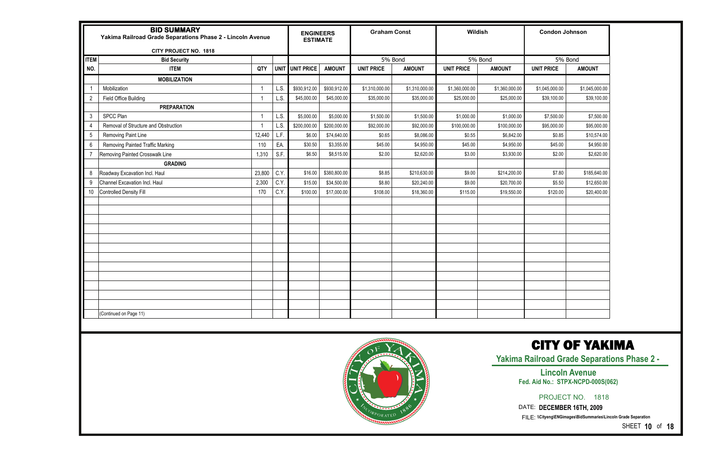|             | <b>BID SUMMARY</b><br>Yakima Railroad Grade Separations Phase 2 - Lincoln Avenue<br><b>CITY PROJECT NO. 1818</b><br><b>Bid Security</b><br><b>ITEM</b><br><b>MOBILIZATION</b><br>Mobilization<br>$\overline{1}$<br>$\overline{2}$<br>Field Office Building<br><b>PREPARATION</b><br>$\mathbf{3}$<br>SPCC Plan<br>Removal of Structure and Obstruction<br>4<br>$5\phantom{.0}$<br>Removing Paint Line<br>$6\phantom{.}6$<br><b>Removing Painted Traffic Marking</b><br>$\overline{7}$<br>Removing Painted Crosswalk Line<br><b>GRADING</b><br>8<br>Roadway Excavation Incl. Haul |        |      | <b>ENGINEERS</b><br><b>ESTIMATE</b> |               | <b>Graham Const</b> |                | Wildish           |                | <b>Condon Johnson</b> |                |
|-------------|---------------------------------------------------------------------------------------------------------------------------------------------------------------------------------------------------------------------------------------------------------------------------------------------------------------------------------------------------------------------------------------------------------------------------------------------------------------------------------------------------------------------------------------------------------------------------------|--------|------|-------------------------------------|---------------|---------------------|----------------|-------------------|----------------|-----------------------|----------------|
| <b>ITEM</b> |                                                                                                                                                                                                                                                                                                                                                                                                                                                                                                                                                                                 |        |      |                                     |               |                     | 5% Bond        |                   | 5% Bond        |                       | 5% Bond        |
| NO.         |                                                                                                                                                                                                                                                                                                                                                                                                                                                                                                                                                                                 | QTY    |      | UNIT UNIT PRICE                     | <b>AMOUNT</b> | <b>UNIT PRICE</b>   | <b>AMOUNT</b>  | <b>UNIT PRICE</b> | <b>AMOUNT</b>  | <b>UNIT PRICE</b>     | <b>AMOUNT</b>  |
|             |                                                                                                                                                                                                                                                                                                                                                                                                                                                                                                                                                                                 |        |      |                                     |               |                     |                |                   |                |                       |                |
|             |                                                                                                                                                                                                                                                                                                                                                                                                                                                                                                                                                                                 |        | L.S. | \$930,912.00                        | \$930,912.00  | \$1,310,000.00      | \$1,310,000.00 | \$1,360,000.00    | \$1,360,000.00 | \$1,045,000.00        | \$1,045,000.00 |
|             |                                                                                                                                                                                                                                                                                                                                                                                                                                                                                                                                                                                 |        | L.S. | \$45,000.00                         | \$45,000.00   | \$35,000.00         | \$35,000.00    | \$25,000.00       | \$25,000.00    | \$39,100.00           | \$39,100.00    |
|             |                                                                                                                                                                                                                                                                                                                                                                                                                                                                                                                                                                                 |        |      |                                     |               |                     |                |                   |                |                       |                |
|             |                                                                                                                                                                                                                                                                                                                                                                                                                                                                                                                                                                                 |        | L.S. | \$5,000.00                          | \$5,000.00    | \$1,500.00          | \$1,500.00     | \$1,000.00        | \$1,000.00     | \$7,500.00            | \$7,500.00     |
|             |                                                                                                                                                                                                                                                                                                                                                                                                                                                                                                                                                                                 |        | L.S. | \$200,000.00                        | \$200,000.00  | \$92,000.00         | \$92,000.00    | \$100,000.00      | \$100,000.00   | \$95,000.00           | \$95,000.00    |
|             |                                                                                                                                                                                                                                                                                                                                                                                                                                                                                                                                                                                 | 12,440 | L.F. | \$6.00                              | \$74,640.00   | \$0.65              | \$8,086.00     | \$0.55            | \$6,842.00     | \$0.85                | \$10,574.00    |
|             |                                                                                                                                                                                                                                                                                                                                                                                                                                                                                                                                                                                 | 110    | EA.  | \$30.50                             | \$3,355.00    | \$45.00             | \$4,950.00     | \$45.00           | \$4,950.00     | \$45.00               | \$4,950.00     |
|             |                                                                                                                                                                                                                                                                                                                                                                                                                                                                                                                                                                                 | 1,310  | S.F. | \$6.50                              | \$8,515.00    | \$2.00              | \$2,620.00     | \$3.00            | \$3,930.00     | \$2.00                | \$2,620.00     |
|             |                                                                                                                                                                                                                                                                                                                                                                                                                                                                                                                                                                                 |        |      |                                     |               |                     |                |                   |                |                       |                |
|             |                                                                                                                                                                                                                                                                                                                                                                                                                                                                                                                                                                                 | 23,800 | C.Y. | \$16.00                             | \$380,800.00  | \$8.85              | \$210,630.00   | \$9.00            | \$214,200.00   | \$7.80                | \$185,640.00   |
| $9\,$       | Channel Excavation Incl. Haul                                                                                                                                                                                                                                                                                                                                                                                                                                                                                                                                                   | 2,300  | C.Y. | \$15.00                             | \$34,500.00   | \$8.80              | \$20,240.00    | \$9.00            | \$20,700.00    | \$5.50                | \$12,650.00    |
| 10          | <b>Controlled Density Fill</b>                                                                                                                                                                                                                                                                                                                                                                                                                                                                                                                                                  | 170    | C.Y. | \$100.00                            | \$17,000.00   | \$108.00            | \$18,360.00    | \$115.00          | \$19,550.00    | \$120.00              | \$20,400.00    |
|             |                                                                                                                                                                                                                                                                                                                                                                                                                                                                                                                                                                                 |        |      |                                     |               |                     |                |                   |                |                       |                |
|             |                                                                                                                                                                                                                                                                                                                                                                                                                                                                                                                                                                                 |        |      |                                     |               |                     |                |                   |                |                       |                |
|             |                                                                                                                                                                                                                                                                                                                                                                                                                                                                                                                                                                                 |        |      |                                     |               |                     |                |                   |                |                       |                |
|             |                                                                                                                                                                                                                                                                                                                                                                                                                                                                                                                                                                                 |        |      |                                     |               |                     |                |                   |                |                       |                |
|             |                                                                                                                                                                                                                                                                                                                                                                                                                                                                                                                                                                                 |        |      |                                     |               |                     |                |                   |                |                       |                |
|             |                                                                                                                                                                                                                                                                                                                                                                                                                                                                                                                                                                                 |        |      |                                     |               |                     |                |                   |                |                       |                |
|             |                                                                                                                                                                                                                                                                                                                                                                                                                                                                                                                                                                                 |        |      |                                     |               |                     |                |                   |                |                       |                |
|             |                                                                                                                                                                                                                                                                                                                                                                                                                                                                                                                                                                                 |        |      |                                     |               |                     |                |                   |                |                       |                |
|             |                                                                                                                                                                                                                                                                                                                                                                                                                                                                                                                                                                                 |        |      |                                     |               |                     |                |                   |                |                       |                |
|             |                                                                                                                                                                                                                                                                                                                                                                                                                                                                                                                                                                                 |        |      |                                     |               |                     |                |                   |                |                       |                |
|             |                                                                                                                                                                                                                                                                                                                                                                                                                                                                                                                                                                                 |        |      |                                     |               |                     |                |                   |                |                       |                |
|             |                                                                                                                                                                                                                                                                                                                                                                                                                                                                                                                                                                                 |        |      |                                     |               |                     |                |                   |                |                       |                |
|             | (Continued on Page 11)                                                                                                                                                                                                                                                                                                                                                                                                                                                                                                                                                          |        |      |                                     |               |                     |                |                   |                |                       |                |
|             |                                                                                                                                                                                                                                                                                                                                                                                                                                                                                                                                                                                 |        |      |                                     |               |                     |                |                   |                |                       |                |



**Yakima Railroad Grade Separations Phase 2 -** 

PROJECT NO. 1818

SHEET **10** of **18**

**Lincoln Avenue Fed. Aid No.: STPX-NCPD-000S(062)** 

DATE: **DECEMBER 16TH, 2009**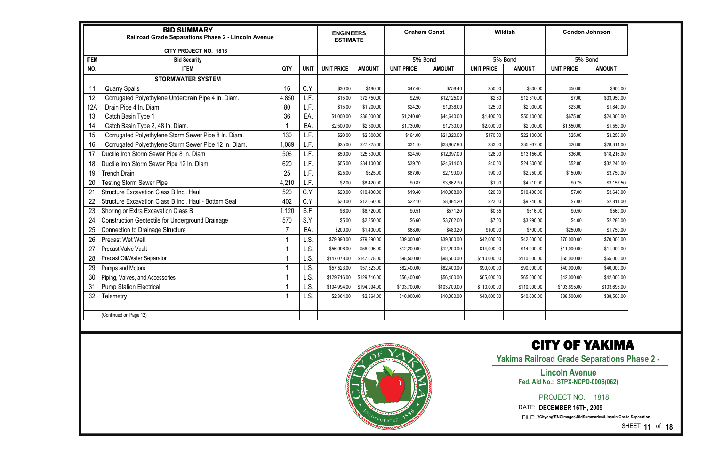|             | <b>BID SUMMARY</b><br>Railroad Grade Separations Phase 2 - Lincoln Avenue<br>CITY PROJECT NO. 1818 |       | <b>ENGINEERS</b><br><b>ESTIMATE</b> |                   |               | <b>Graham Const</b> |               | Wildish           |               | <b>Condon Johnson</b> |               |
|-------------|----------------------------------------------------------------------------------------------------|-------|-------------------------------------|-------------------|---------------|---------------------|---------------|-------------------|---------------|-----------------------|---------------|
| <b>ITEM</b> | <b>Bid Security</b>                                                                                |       |                                     |                   |               |                     | 5% Bond       |                   | 5% Bond       |                       | 5% Bond       |
| NO.         | <b>ITEM</b>                                                                                        | QTY   | <b>UNIT</b>                         | <b>UNIT PRICE</b> | <b>AMOUNT</b> | <b>UNIT PRICE</b>   | <b>AMOUNT</b> | <b>UNIT PRICE</b> | <b>AMOUNT</b> | <b>UNIT PRICE</b>     | <b>AMOUNT</b> |
|             | <b>STORMWATER SYSTEM</b>                                                                           |       |                                     |                   |               |                     |               |                   |               |                       |               |
| 11          | <b>Quarry Spalls</b>                                                                               | 16    | C.Y                                 | \$30.00           | \$480.00      | \$47.40             | \$758.40      | \$50.00           | \$800.00      | \$50.00               | \$800.00      |
| 12          | Corrugated Polyethylene Underdrain Pipe 4 In. Diam.                                                | 4,850 | LF.                                 | \$15.00           | \$72,750.00   | \$2.50              | \$12,125.00   | \$2.60            | \$12,610.00   | \$7.00                | \$33,950.00   |
| 12A         | Drain Pipe 4 In. Diam.                                                                             | 80    | LF.                                 | \$15.00           | \$1,200.00    | \$24.20             | \$1,936.00    | \$25.00           | \$2,000.00    | \$23.00               | \$1,840.00    |
| 13          | Catch Basin Type 1                                                                                 | 36    | EA                                  | \$1,000.00        | \$36,000.00   | \$1,240.00          | \$44,640.00   | \$1,400.00        | \$50,400.00   | \$675.00              | \$24,300.00   |
| 14          | Catch Basin Type 2, 48 In. Diam.                                                                   |       | EA.                                 | \$2,500.00        | \$2,500.00    | \$1,730.00          | \$1,730.00    | \$2,000.00        | \$2,000.00    | \$1,550.00            | \$1,550.00    |
| 15          | Corrugated Polyethylene Storm Sewer Pipe 8 In. Diam.                                               | 130   | L.F.                                | \$20.00           | \$2,600.00    | \$164.00            | \$21,320.00   | \$170.00          | \$22,100.00   | \$25.00               | \$3,250.00    |
| 16          | Corrugated Polyethylene Storm Sewer Pipe 12 In. Diam.                                              | 0.089 | .F.                                 | \$25.00           | \$27,225.00   | \$31.10             | \$33,867.90   | \$33.00           | \$35,937.00   | \$26.00               | \$28,314.00   |
| 17          | Ductile Iron Storm Sewer Pipe 8 In. Diam                                                           | 506   | LF.                                 | \$50.00           | \$25,300.00   | \$24.50             | \$12,397.00   | \$26.00           | \$13,156.00   | \$36.00               | \$18,216.00   |
| 18          | Ductile Iron Storm Sewer Pipe 12 In. Diam                                                          | 620   | L.F.                                | \$55.00           | \$34,100.00   | \$39.70             | \$24,614.00   | \$40.00           | \$24,800.00   | \$52.00               | \$32,240.00   |
| 19          | <b>Trench Drain</b>                                                                                | 25    | F.                                  | \$25.00           | \$625.00      | \$87.60             | \$2,190.00    | \$90.00           | \$2,250.00    | \$150.00              | \$3,750.00    |
| 20          | <b>Testing Storm Sewer Pipe</b>                                                                    | 4,210 | .F.                                 | \$2.00            | \$8,420.00    | \$0.87              | \$3,662.70    | \$1.00            | \$4,210.00    | \$0.75                | \$3,157.50    |
| 21          | <b>Structure Excavation Class B Incl. Haul</b>                                                     | 520   | C.Y                                 | \$20.00           | \$10,400.00   | \$19.40             | \$10,088.00   | \$20.00           | \$10,400.00   | \$7.00                | \$3,640.00    |
| 22          | Structure Excavation Class B Incl. Haul - Bottom Seal                                              | 402   | C.Y                                 | \$30.00           | \$12,060.00   | \$22.10             | \$8,884.20    | \$23.00           | \$9,246.00    | \$7.00                | \$2,814.00    |
| 23          | Shoring or Extra Excavation Class B                                                                | 1,120 | S.F.                                | \$6.00            | \$6,720.00    | \$0.51              | \$571.20      | \$0.55            | \$616.00      | \$0.50                | \$560.00      |
| 24          | Construction Geotextile for Underground Drainage                                                   | 570   | S.Y                                 | \$5.00            | \$2,850.00    | \$6.60              | \$3,762.00    | \$7.00            | \$3,990.00    | \$4.00                | \$2,280.00    |
| 25          | Connection to Drainage Structure                                                                   |       | EA.                                 | \$200.00          | \$1,400.00    | \$68.60             | \$480.20      | \$100.00          | \$700.00      | \$250.00              | \$1,750.00    |
| 26          | <b>Precast Wet Well</b>                                                                            |       | L.S.                                | \$79,890.00       | \$79,890.00   | \$39,300.00         | \$39,300.00   | \$42,000.00       | \$42,000.00   | \$70,000.00           | \$70,000.00   |
| 27          | <b>Precast Valve Vault</b>                                                                         |       | L.S.                                | \$56,096.00       | \$56,096.00   | \$12,200.00         | \$12,200.00   | \$14,000.00       | \$14,000.00   | \$11,000.00           | \$11,000.00   |
| 28          | Precast Oil/Water Separator                                                                        |       | L.S.                                | \$147,078.00      | \$147,078.00  | \$98,500.00         | \$98,500.00   | \$110,000.00      | \$110,000.00  | \$65,000.00           | \$65,000.00   |
| 29          | Pumps and Motors                                                                                   |       | L.S.                                | \$57,523.00       | \$57,523.00   | \$82,400.00         | \$82,400.00   | \$90,000.00       | \$90,000.00   | \$40,000.00           | \$40,000.00   |
| 30          | Piping, Valves, and Accessories                                                                    |       | L.S.                                | \$129,716.00      | \$129,716.00  | \$56,400.00         | \$56,400.00   | \$65,000.00       | \$65,000.00   | \$42,000.00           | \$42,000.00   |
| 31          | <b>Pump Station Electrical</b>                                                                     |       | L.S.                                | \$194,994.00      | \$194,994.00  | \$103,700.00        | \$103,700.00  | \$110,000.00      | \$110,000.00  | \$103,695.00          | \$103,695.00  |
| 32          | Telemetry                                                                                          |       | L.S.                                | \$2,364.00        | \$2,364.00    | \$10,000.00         | \$10,000.00   | \$40,000.00       | \$40,000.00   | \$38,500.00           | \$38,500.00   |
|             |                                                                                                    |       |                                     |                   |               |                     |               |                   |               |                       |               |
|             | (Continued on Page 12)                                                                             |       |                                     |                   |               |                     |               |                   |               |                       |               |



**Yakima Railroad Grade Separations Phase 2 -** 

PROJECT NO. 1818

SHEET **11** of **18**

#### **Lincoln Avenue Fed. Aid No.: STPX-NCPD-000S(062)**

DATE: **DECEMBER 16TH, 2009**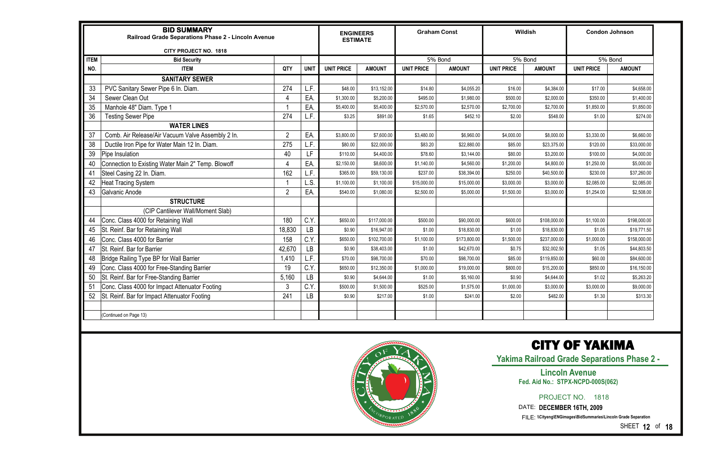|             | <b>BID SUMMARY</b><br>Railroad Grade Separations Phase 2 - Lincoln Avenue | Wildish<br><b>Graham Const</b><br><b>ENGINEERS</b><br><b>ESTIMATE</b> |                           |                   | <b>Condon Johnson</b> |                   |               |                   |               |                   |               |
|-------------|---------------------------------------------------------------------------|-----------------------------------------------------------------------|---------------------------|-------------------|-----------------------|-------------------|---------------|-------------------|---------------|-------------------|---------------|
| <b>ITEM</b> | CITY PROJECT NO. 1818<br><b>Bid Security</b>                              |                                                                       |                           |                   |                       |                   | 5% Bond       |                   | 5% Bond       |                   | 5% Bond       |
| NO.         | <b>ITEM</b>                                                               | QTY                                                                   | <b>UNIT</b>               | <b>UNIT PRICE</b> | <b>AMOUNT</b>         | <b>UNIT PRICE</b> | <b>AMOUNT</b> | <b>UNIT PRICE</b> | <b>AMOUNT</b> | <b>UNIT PRICE</b> | <b>AMOUNT</b> |
|             | <b>SANITARY SEWER</b>                                                     |                                                                       |                           |                   |                       |                   |               |                   |               |                   |               |
| 33          | PVC Sanitary Sewer Pipe 6 In. Diam.                                       | 274                                                                   | L.F.                      | \$48.00           | \$13,152.00           | \$14.80           | \$4,055.20    | \$16.00           | \$4,384.00    | \$17.00           | \$4,658.00    |
| 34          | Sewer Clean Out                                                           |                                                                       | EA.                       | \$1,300.00        | \$5,200.00            | \$495.00          | \$1,980.00    | \$500.00          | \$2,000.00    | \$350.00          | \$1,400.00    |
| 35          | Manhole 48" Diam. Type 1                                                  |                                                                       | EA.                       | \$5,400.00        | \$5,400.00            | \$2,570.00        | \$2,570.00    | \$2,700.00        | \$2,700.00    | \$1,850.00        | \$1,850.00    |
| 36          | <b>Testing Sewer Pipe</b>                                                 | 274                                                                   | $\mathsf{F}$              | \$3.25            | \$891.00              | \$1.65            | \$452.10      | \$2.00            | \$548.00      | \$1.00            | \$274.00      |
|             | <b>WATER LINES</b>                                                        |                                                                       |                           |                   |                       |                   |               |                   |               |                   |               |
| 37          | Comb. Air Release/Air Vacuum Valve Assembly 2 In.                         | $\overline{2}$                                                        | EA.                       | \$3,800.00        | \$7,600.00            | \$3,480.00        | \$6,960.00    | \$4,000.00        | \$8,000.00    | \$3,330.00        | \$6,660.00    |
| 38          | Ductile Iron Pipe for Water Main 12 In. Diam.                             | 275                                                                   | $\mathsf{L} \mathsf{F}$ . | \$80.00           | \$22,000.00           | \$83.20           | \$22,880.00   | \$85.00           | \$23,375.00   | \$120.00          | \$33,000.00   |
| 39          | Pipe Insulation                                                           | 40                                                                    | LF                        | \$110.00          | \$4,400.00            | \$78.60           | \$3,144.00    | \$80.00           | \$3,200.00    | \$100.00          | \$4,000.00    |
| 40          | Connection to Existing Water Main 2" Temp. Blowoff                        | 4                                                                     | EA.                       | \$2,150.00        | \$8,600.00            | \$1,140.00        | \$4,560.00    | \$1,200.00        | \$4,800.00    | \$1,250.00        | \$5,000.00    |
| 41          | Steel Casing 22 In. Diam.                                                 | 162                                                                   | L.F.                      | \$365.00          | \$59,130.00           | \$237.00          | \$38,394.00   | \$250.00          | \$40,500.00   | \$230.00          | \$37,260.00   |
| 42          | <b>Heat Tracing System</b>                                                |                                                                       | L.S.                      | \$1,100.00        | \$1,100.00            | \$15,000.00       | \$15,000.00   | \$3,000.00        | \$3,000.00    | \$2,085.00        | \$2,085.00    |
| 43          | Galvanic Anode                                                            | $\overline{2}$                                                        | EA.                       | \$540.00          | \$1,080.00            | \$2,500.00        | \$5,000.00    | \$1,500.00        | \$3,000.00    | \$1,254.00        | \$2,508.00    |
|             | <b>STRUCTURE</b>                                                          |                                                                       |                           |                   |                       |                   |               |                   |               |                   |               |
|             | (CIP Cantilever Wall/Moment Slab)                                         |                                                                       |                           |                   |                       |                   |               |                   |               |                   |               |
| 44          | Conc. Class 4000 for Retaining Wall                                       | 180                                                                   | C.Y                       | \$650.00          | \$117,000.00          | \$500.00          | \$90,000.00   | \$600.00          | \$108,000.00  | \$1,100.00        | \$198,000.00  |
| 45          | St. Reinf. Bar for Retaining Wall                                         | 18,830                                                                | LB                        | \$0.90            | \$16,947.00           | \$1.00            | \$18,830.00   | \$1.00            | \$18,830.00   | \$1.05            | \$19,771.50   |
| 46          | Conc. Class 4000 for Barrier                                              | 158                                                                   | C.Y                       | \$650.00          | \$102,700.00          | \$1,100.00        | \$173,800.00  | \$1,500.00        | \$237,000.00  | \$1,000.00        | \$158,000.00  |
| 47          | St. Reinf. Bar for Barrier                                                | 42,670                                                                | <b>LB</b>                 | \$0.90            | \$38,403.00           | \$1.00            | \$42,670.00   | \$0.75            | \$32,002.50   | \$1.05            | \$44,803.50   |
| 48          | Bridge Railing Type BP for Wall Barrier                                   | 1,410                                                                 | .F.                       | \$70.00           | \$98,700.00           | \$70.00           | \$98,700.00   | \$85.00           | \$119,850.00  | \$60.00           | \$84,600.00   |
| 49          | Conc. Class 4000 for Free-Standing Barrier                                | 19                                                                    | C.Y                       | \$650.00          | \$12,350.00           | \$1,000.00        | \$19,000.00   | \$800.00          | \$15,200.00   | \$850.00          | \$16,150.00   |
| 50          | St. Reinf. Bar for Free-Standing Barrier                                  | 5,160                                                                 | <b>LB</b>                 | \$0.90            | \$4,644.00            | \$1.00            | \$5,160.00    | \$0.90            | \$4,644.00    | \$1.02            | \$5,263.20    |
| 51          | Conc. Class 4000 for Impact Attenuator Footing                            | 3                                                                     | C.Y.                      | \$500.00          | \$1,500.00            | \$525.00          | \$1,575.00    | \$1,000.00        | \$3,000.00    | \$3,000.00        | \$9,000.00    |
| 52          | St. Reinf. Bar for Impact Attenuator Footing                              | 241                                                                   | <b>LB</b>                 | \$0.90            | \$217.00              | \$1.00            | \$241.00      | \$2.00            | \$482.00      | \$1.30            | \$313.30      |
|             |                                                                           |                                                                       |                           |                   |                       |                   |               |                   |               |                   |               |
|             | (Continued on Page 13)                                                    |                                                                       |                           |                   |                       |                   |               |                   |               |                   |               |



**Yakima Railroad Grade Separations Phase 2 -** 

PROJECT NO. 1818

SHEET **12** of **18**

#### **Lincoln Avenue Fed. Aid No.: STPX-NCPD-000S(062)**

DATE: **DECEMBER 16TH, 2009**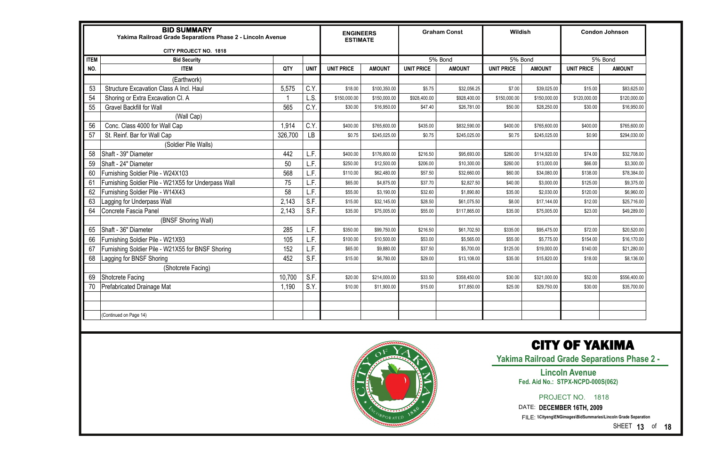|             | <b>BID SUMMARY</b><br>Yakima Railroad Grade Separations Phase 2 - Lincoln Avenue |         |             | <b>ENGINEERS</b><br><b>ESTIMATE</b> |               | <b>Graham Const</b> |               | Wildish           |               | <b>Condon Johnson</b> |               |
|-------------|----------------------------------------------------------------------------------|---------|-------------|-------------------------------------|---------------|---------------------|---------------|-------------------|---------------|-----------------------|---------------|
|             | <b>CITY PROJECT NO. 1818</b>                                                     |         |             |                                     |               |                     |               |                   |               |                       |               |
| <b>ITEM</b> | <b>Bid Security</b>                                                              |         |             |                                     |               |                     | 5% Bond       | 5% Bond           |               |                       | 5% Bond       |
| NO.         | <b>ITEM</b>                                                                      | QTY     | <b>UNIT</b> | <b>UNIT PRICE</b>                   | <b>AMOUNT</b> | <b>UNIT PRICE</b>   | <b>AMOUNT</b> | <b>UNIT PRICE</b> | <b>AMOUNT</b> | <b>UNIT PRICE</b>     | <b>AMOUNT</b> |
|             | (Earthwork)                                                                      |         |             |                                     |               |                     |               |                   |               |                       |               |
| 53          | <b>Structure Excavation Class A Incl. Haul</b>                                   | 5,575   | C.Y         | \$18.00                             | \$100,350.00  | \$5.75              | \$32,056.25   | \$7.00            | \$39,025.00   | \$15.00               | \$83,625.00   |
| 54          | Shoring or Extra Excavation Cl. A                                                |         | L.S.        | \$150,000.00                        | \$150,000.00  | \$928,400.00        | \$928,400.00  | \$150,000.00      | \$150,000.00  | \$120,000.00          | \$120,000.00  |
| 55          | <b>Gravel Backfill for Wall</b>                                                  | 565     | C.Y         | \$30.00                             | \$16,950.00   | \$47.40             | \$26,781.00   | \$50.00           | \$28,250.00   | \$30.00               | \$16,950.00   |
|             | (Wall Cap)                                                                       |         |             |                                     |               |                     |               |                   |               |                       |               |
| 56          | Conc. Class 4000 for Wall Cap                                                    | 1,914   | C.Y         | \$400.00                            | \$765,600.00  | \$435.00            | \$832,590.00  | \$400.00          | \$765,600.00  | \$400.00              | \$765,600.00  |
| 57          | St. Reinf. Bar for Wall Cap                                                      | 326,700 | LB          | \$0.75                              | \$245,025.00  | \$0.75              | \$245,025.00  | \$0.75            | \$245,025.00  | \$0.90                | \$294,030.00  |
|             | (Soldier Pile Walls)                                                             |         |             |                                     |               |                     |               |                   |               |                       |               |
| 58          | Shaft - 39" Diameter                                                             | 442     | L.F.        | \$400.00                            | \$176,800.00  | \$216.50            | \$95,693.00   | \$260.00          | \$114,920.00  | \$74.00               | \$32,708.00   |
| 59          | Shaft - 24" Diameter                                                             | 50      | L.F.        | \$250.00                            | \$12,500.00   | \$206.00            | \$10,300.00   | \$260.00          | \$13,000.00   | \$66.00               | \$3,300.00    |
| 60          | Furnishing Soldier Pile - W24X103                                                | 568     | L.F.        | \$110.00                            | \$62,480.00   | \$57.50             | \$32,660.00   | \$60.00           | \$34,080.00   | \$138.00              | \$78,384.00   |
| 61          | Furnishing Soldier Pile - W21X55 for Underpass Wall                              | 75      | L.F.        | \$65.00                             | \$4,875.00    | \$37.70             | \$2,827.50    | \$40.00           | \$3,000.00    | \$125.00              | \$9,375.00    |
| 62          | Furnishing Soldier Pile - W14X43                                                 | 58      | L.F.        | \$55.00                             | \$3,190.00    | \$32.60             | \$1,890.80    | \$35.00           | \$2,030.00    | \$120.00              | \$6,960.00    |
| 63          | Lagging for Underpass Wall                                                       | 2,143   | S.F.        | \$15.00                             | \$32,145.00   | \$28.50             | \$61,075.50   | \$8.00            | \$17,144.00   | \$12.00               | \$25,716.00   |
| 64          | Concrete Fascia Panel                                                            | 2,143   | S.F.        | \$35.00                             | \$75,005.00   | \$55.00             | \$117,865.00  | \$35.00           | \$75,005.00   | \$23.00               | \$49,289.00   |
|             | (BNSF Shoring Wall)                                                              |         |             |                                     |               |                     |               |                   |               |                       |               |
| 65          | Shaft - 36" Diameter                                                             | 285     | L.F.        | \$350.00                            | \$99,750.00   | \$216.50            | \$61,702.50   | \$335.00          | \$95,475.00   | \$72.00               | \$20,520.00   |
| 66          | Furnishing Soldier Pile - W21X93                                                 | 105     | L.F.        | \$100.00                            | \$10,500.00   | \$53.00             | \$5,565.00    | \$55.00           | \$5,775.00    | \$154.00              | \$16,170.00   |
| 67          | Furnishing Soldier Pile - W21X55 for BNSF Shoring                                | 152     | L.F.        | \$65.00                             | \$9,880.00    | \$37.50             | \$5,700.00    | \$125.00          | \$19,000.00   | \$140.00              | \$21,280.00   |
| 68          | Lagging for BNSF Shoring                                                         | 452     | S.F.        | \$15.00                             | \$6,780.00    | \$29.00             | \$13,108.00   | \$35.00           | \$15,820.00   | \$18.00               | \$8,136.00    |
|             | (Shotcrete Facing)                                                               |         |             |                                     |               |                     |               |                   |               |                       |               |
| 69          | Shotcrete Facing                                                                 | 10,700  | S.F.        | \$20.00                             | \$214,000.00  | \$33.50             | \$358,450.00  | \$30.00           | \$321,000.00  | \$52.00               | \$556,400.00  |
| 70          | Prefabricated Drainage Mat                                                       | 1,190   | S.Y.        | \$10.00                             | \$11,900.00   | \$15.00             | \$17,850.00   | \$25.00           | \$29,750.00   | \$30.00               | \$35,700.00   |
|             |                                                                                  |         |             |                                     |               |                     |               |                   |               |                       |               |
|             |                                                                                  |         |             |                                     |               |                     |               |                   |               |                       |               |
|             | (Continued on Page 14)                                                           |         |             |                                     |               |                     |               |                   |               |                       |               |
|             |                                                                                  |         |             |                                     |               |                     |               |                   |               |                       |               |



SHEET **13** of **18**

### CITY OF YAKIMA

**Yakima Railroad Grade Separations Phase 2 -** 

PROJECT NO. 1818

#### **Lincoln Avenue Fed. Aid No.: STPX-NCPD-000S(062)**

DATE: **DECEMBER 16TH, 2009**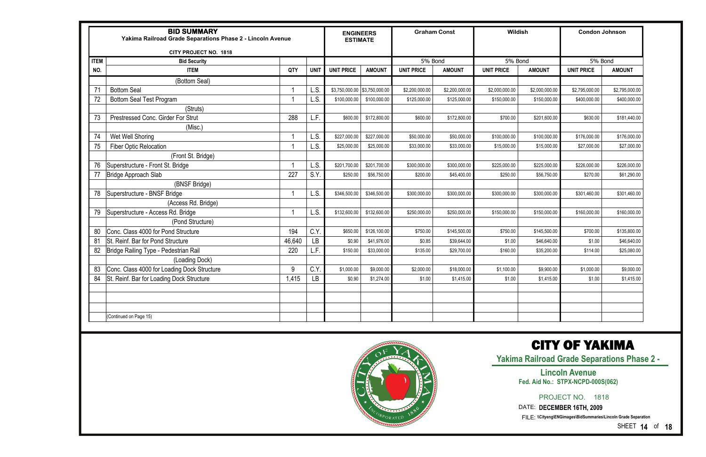|             | <b>BID SUMMARY</b><br>Yakima Railroad Grade Separations Phase 2 - Lincoln Avenue |        | <b>ENGINEERS</b><br><b>ESTIMATE</b> |                   | <b>Graham Const</b> |                   | Wildish        |                   | <b>Condon Johnson</b> |                   |                |
|-------------|----------------------------------------------------------------------------------|--------|-------------------------------------|-------------------|---------------------|-------------------|----------------|-------------------|-----------------------|-------------------|----------------|
|             | CITY PROJECT NO. 1818                                                            |        |                                     |                   |                     |                   |                |                   |                       |                   |                |
| <b>ITEM</b> | <b>Bid Security</b>                                                              |        |                                     |                   |                     | 5% Bond           |                | 5% Bond           |                       | 5% Bond           |                |
| NO.         | <b>ITEM</b>                                                                      | QTY    | <b>UNIT</b>                         | <b>UNIT PRICE</b> | <b>AMOUNT</b>       | <b>UNIT PRICE</b> | <b>AMOUNT</b>  | <b>UNIT PRICE</b> | <b>AMOUNT</b>         | <b>UNIT PRICE</b> | <b>AMOUNT</b>  |
|             | (Bottom Seal)                                                                    |        |                                     |                   |                     |                   |                |                   |                       |                   |                |
| 71          | <b>Bottom Seal</b>                                                               |        | L.S.                                | \$3,750,000.00    | \$3,750,000.00      | \$2,200,000.00    | \$2,200,000.00 | \$2,000,000.00    | \$2,000,000.00        | \$2,795,000.00    | \$2,795,000.00 |
|             | <b>Bottom Seal Test Program</b>                                                  |        | L.S.                                | \$100,000.00      | \$100,000.00        | \$125,000.00      | \$125,000.00   | \$150,000.00      | \$150,000.00          | \$400,000.00      | \$400,000.00   |
|             | (Struts)                                                                         |        |                                     |                   |                     |                   |                |                   |                       |                   |                |
| 73          | Prestressed Conc. Girder For Strut                                               | 288    | L.F.                                | \$600.00          | \$172,800.00        | \$600.00          | \$172,800.00   | \$700.00          | \$201,600.00          | \$630.00          | \$181,440.00   |
|             | (Misc.)                                                                          |        |                                     |                   |                     |                   |                |                   |                       |                   |                |
| 74          | Wet Well Shoring                                                                 |        | L.S.                                | \$227,000.00      | \$227,000.00        | \$50,000.00       | \$50,000.00    | \$100,000.00      | \$100,000.00          | \$176,000.00      | \$176,000.00   |
| 75          | <b>Fiber Optic Relocation</b>                                                    |        | L.S.                                | \$25,000.00       | \$25,000.00         | \$33,000.00       | \$33,000.00    | \$15,000.00       | \$15,000.00           | \$27,000.00       | \$27,000.00    |
|             | (Front St. Bridge)                                                               |        |                                     |                   |                     |                   |                |                   |                       |                   |                |
| 76          | Superstructure - Front St. Bridge                                                |        | L.S.                                | \$201,700.00      | \$201,700.00        | \$300,000.00      | \$300,000.00   | \$225,000.00      | \$225,000.00          | \$226,000.00      | \$226,000.00   |
| 77          | Bridge Approach Slab                                                             | 227    | S.Y.                                | \$250.00          | \$56,750.00         | \$200.00          | \$45,400.00    | \$250.00          | \$56,750.00           | \$270.00          | \$61,290.00    |
|             | (BNSF Bridge)                                                                    |        |                                     |                   |                     |                   |                |                   |                       |                   |                |
| 78          | Superstructure - BNSF Bridge                                                     |        | L.S.                                | \$346,500.00      | \$346,500.00        | \$300,000.00      | \$300,000.00   | \$300,000.00      | \$300,000.00          | \$301,460.00      | \$301,460.00   |
|             | (Access Rd. Bridge)                                                              |        |                                     |                   |                     |                   |                |                   |                       |                   |                |
|             | Superstructure - Access Rd. Bridge                                               |        | L.S.                                | \$132,600.00      | \$132,600.00        | \$250,000.00      | \$250,000.00   | \$150,000.00      | \$150,000.00          | \$160,000.00      | \$160,000.00   |
|             | (Pond Structure)                                                                 |        |                                     |                   |                     |                   |                |                   |                       |                   |                |
| 80          | Conc. Class 4000 for Pond Structure                                              | 194    | C.Y                                 | \$650.00          | \$126,100.00        | \$750.00          | \$145,500.00   | \$750.00          | \$145,500.00          | \$700.00          | \$135,800.00   |
| 81          | St. Reinf. Bar for Pond Structure                                                | 46,640 | LВ                                  | \$0.90            | \$41,976.00         | \$0.85            | \$39,644.00    | \$1.00            | \$46,640.00           | \$1.00            | \$46,640.00    |
| 82          | Bridge Railing Type - Pedestrian Rail                                            | 220    | L.F.                                | \$150.00          | \$33,000.00         | \$135.00          | \$29,700.00    | \$160.00          | \$35,200.00           | \$114.00          | \$25,080.00    |
|             | (Loading Dock)                                                                   |        |                                     |                   |                     |                   |                |                   |                       |                   |                |
|             | Conc. Class 4000 for Loading Dock Structure                                      | 9      | C.Y                                 | \$1,000.00        | \$9,000.00          | \$2,000.00        | \$18,000.00    | \$1,100.00        | \$9,900.00            | \$1,000.00        | \$9,000.00     |
| 84          | St. Reinf. Bar for Loading Dock Structure                                        | 1,415  | <b>LB</b>                           | \$0.90            | \$1,274.00          | \$1.00            | \$1,415.00     | \$1.00            | \$1,415.00            | \$1.00            | \$1,415.00     |
|             |                                                                                  |        |                                     |                   |                     |                   |                |                   |                       |                   |                |
|             |                                                                                  |        |                                     |                   |                     |                   |                |                   |                       |                   |                |
|             |                                                                                  |        |                                     |                   |                     |                   |                |                   |                       |                   |                |
|             | (Continued on Page 15)                                                           |        |                                     |                   |                     |                   |                |                   |                       |                   |                |



SHEET **14** of **18**

### CITY OF YAKIMA

**Yakima Railroad Grade Separations Phase 2 -** 

PROJECT NO. 1818

#### **Lincoln Avenue Fed. Aid No.: STPX-NCPD-000S(062)**

DATE: **DECEMBER 16TH, 2009**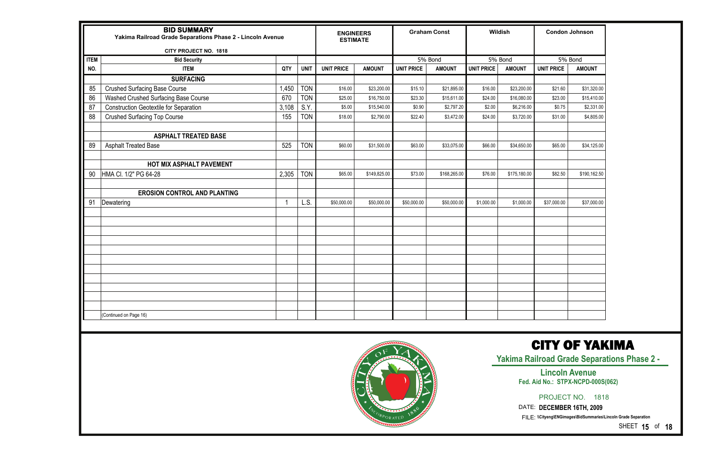|             | <b>BID SUMMARY</b><br>Yakima Railroad Grade Separations Phase 2 - Lincoln Avenue |       |             | <b>ENGINEERS</b><br><b>ESTIMATE</b> |               |                   | <b>Graham Const</b> |                   | Wildish       |                   | <b>Condon Johnson</b>                                                                                                 |
|-------------|----------------------------------------------------------------------------------|-------|-------------|-------------------------------------|---------------|-------------------|---------------------|-------------------|---------------|-------------------|-----------------------------------------------------------------------------------------------------------------------|
| <b>ITEM</b> | CITY PROJECT NO. 1818<br><b>Bid Security</b>                                     |       |             |                                     |               |                   | 5% Bond             |                   | 5% Bond       |                   | 5% Bond                                                                                                               |
| NO.         | <b>ITEM</b>                                                                      | QTY   | <b>UNIT</b> | <b>UNIT PRICE</b>                   | <b>AMOUNT</b> | <b>UNIT PRICE</b> | <b>AMOUNT</b>       | <b>UNIT PRICE</b> | <b>AMOUNT</b> | <b>UNIT PRICE</b> | <b>AMOUNT</b>                                                                                                         |
|             | <b>SURFACING</b>                                                                 |       |             |                                     |               |                   |                     |                   |               |                   |                                                                                                                       |
| 85          | <b>Crushed Surfacing Base Course</b>                                             | 1,450 | <b>TON</b>  | \$16.00                             | \$23,200.00   | \$15.10           | \$21,895.00         | \$16.00           | \$23,200.00   | \$21.60           | \$31,320.00                                                                                                           |
| 86          | Washed Crushed Surfacing Base Course                                             | 670   | <b>TON</b>  | \$25.00                             | \$16,750.00   | \$23.30           | \$15,611.00         | \$24.00           | \$16,080.00   | \$23.00           | \$15,410.00                                                                                                           |
| 87          | <b>Construction Geotextile for Separation</b>                                    | 3,108 | S.Y.        | \$5.00                              | \$15,540.00   | \$0.90            | \$2,797.20          | \$2.00            | \$6,216.00    | \$0.75            | \$2,331.00                                                                                                            |
| 88          | <b>Crushed Surfacing Top Course</b>                                              | 155   | <b>TON</b>  | \$18.00                             | \$2,790.00    | \$22.40           | \$3,472.00          | \$24.00           | \$3,720.00    | \$31.00           | \$4,805.00                                                                                                            |
| 89          | <b>ASPHALT TREATED BASE</b><br><b>Asphalt Treated Base</b>                       | 525   | <b>TON</b>  | \$60.00                             | \$31,500.00   | \$63.00           | \$33,075.00         | \$66.00           | \$34,650.00   | \$65.00           | \$34,125.00                                                                                                           |
|             |                                                                                  |       |             |                                     |               |                   |                     |                   |               |                   |                                                                                                                       |
| 90          | <b>HOT MIX ASPHALT PAVEMENT</b><br>HMA Cl. 1/2" PG 64-28                         | 2,305 | <b>TON</b>  | \$65.00                             | \$149,825.00  | \$73.00           | \$168,265.00        | \$76.00           | \$175,180.00  | \$82.50           | \$190,162.50                                                                                                          |
|             |                                                                                  |       |             |                                     |               |                   |                     |                   |               |                   |                                                                                                                       |
|             | <b>EROSION CONTROL AND PLANTING</b>                                              |       |             |                                     |               |                   |                     |                   |               |                   |                                                                                                                       |
| 91          | Dewatering                                                                       |       | L.S.        | \$50,000.00                         | \$50,000.00   | \$50,000.00       | \$50,000.00         | \$1,000.00        | \$1,000.00    | \$37,000.00       | \$37,000.00                                                                                                           |
|             |                                                                                  |       |             |                                     |               |                   |                     |                   |               |                   |                                                                                                                       |
|             |                                                                                  |       |             |                                     |               |                   |                     |                   |               |                   |                                                                                                                       |
|             |                                                                                  |       |             |                                     |               |                   |                     |                   |               |                   |                                                                                                                       |
|             |                                                                                  |       |             |                                     |               |                   |                     |                   |               |                   |                                                                                                                       |
|             |                                                                                  |       |             |                                     |               |                   |                     |                   |               |                   |                                                                                                                       |
|             |                                                                                  |       |             |                                     |               |                   |                     |                   |               |                   |                                                                                                                       |
|             |                                                                                  |       |             |                                     |               |                   |                     |                   |               |                   |                                                                                                                       |
|             |                                                                                  |       |             |                                     |               |                   |                     |                   |               |                   |                                                                                                                       |
|             |                                                                                  |       |             |                                     |               |                   |                     |                   |               |                   |                                                                                                                       |
|             |                                                                                  |       |             |                                     |               |                   |                     |                   |               |                   |                                                                                                                       |
|             | (Continued on Page 16)                                                           |       |             |                                     |               |                   |                     |                   |               |                   |                                                                                                                       |
|             |                                                                                  |       |             |                                     |               |                   |                     |                   |               |                   | <b>CITY OF YAK</b><br><b>Yakima Railroad Grade Separat</b><br><b>Lincoln Avenue</b><br>Fed. Aid No.: STPX-NCPD-000S(0 |

<sup>RP</sup>ORATED

SHEET **15** of **18**

### CITY OF YAKIMA

**Yankiron Schase 2 -**

# 062)

PROJECT NO. 1818

DATE: **DECEMBER 16TH, 2009**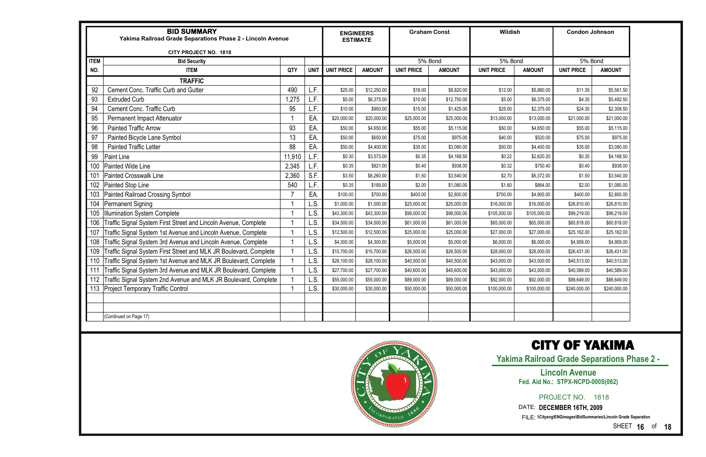|             | <b>BID SUMMARY</b><br>Yakima Railroad Grade Separations Phase 2 - Lincoln Avenue |        |             |                   | <b>ENGINEERS</b><br><b>ESTIMATE</b> |                   | <b>Graham Const</b> | Wildish           |               | <b>Condon Johnson</b> |               |
|-------------|----------------------------------------------------------------------------------|--------|-------------|-------------------|-------------------------------------|-------------------|---------------------|-------------------|---------------|-----------------------|---------------|
|             | CITY PROJECT NO. 1818                                                            |        |             |                   |                                     |                   |                     |                   |               |                       |               |
| <b>ITEM</b> | <b>Bid Security</b>                                                              |        |             |                   |                                     |                   | 5% Bond             | 5% Bond           |               | 5% Bond               |               |
| NO.         | <b>ITEM</b>                                                                      | QTY    | <b>UNIT</b> | <b>UNIT PRICE</b> | <b>AMOUNT</b>                       | <b>UNIT PRICE</b> | <b>AMOUNT</b>       | <b>UNIT PRICE</b> | <b>AMOUNT</b> | <b>UNIT PRICE</b>     | <b>AMOUNT</b> |
|             | <b>TRAFFIC</b>                                                                   |        |             |                   |                                     |                   |                     |                   |               |                       |               |
| 92          | Cement Conc. Traffic Curb and Gutter                                             | 490    | L.F         | \$25.00           | \$12,250.00                         | \$18.00           | \$8,820.00          | \$12.00           | \$5,880.00    | \$11.35               | \$5,561.50    |
| 93          | <b>Extruded Curb</b>                                                             | 1,275  | L.F.        | \$5.00            | \$6,375.00                          | \$10.00           | \$12,750.00         | \$5.00            | \$6,375.00    | \$4.30                | \$5,482.50    |
| 94          | <b>Cement Conc. Traffic Curb</b>                                                 | 95     | L.F.        | \$10.00           | \$950.00                            | \$15.00           | \$1,425.00          | \$25.00           | \$2,375.00    | \$24.30               | \$2,308.50    |
| 95          | Permanent Impact Attenuator                                                      |        | EA.         | \$20,000.00       | \$20,000.00                         | \$25,000.00       | \$25,000.00         | \$13,000.00       | \$13,000.00   | \$21,000.00           | \$21,000.00   |
| 96          | <b>Painted Traffic Arrow</b>                                                     | 93     | EA.         | \$50.00           | \$4,650.00                          | \$55.00           | \$5,115.00          | \$50.00           | \$4,650.00    | \$55.00               | \$5,115.00    |
| 97          | Painted Bicycle Lane Symbol                                                      | 13     | EA.         | \$50.00           | \$650.00                            | \$75.00           | \$975.00            | \$40.00           | \$520.00      | \$75.00               | \$975.00      |
| 98          | <b>Painted Traffic Letter</b>                                                    | 88     | EA.         | \$50.00           | \$4,400.00                          | \$35.00           | \$3,080.00          | \$50.00           | \$4,400.00    | \$35.00               | \$3,080.00    |
| 99          | <b>Paint Line</b>                                                                | 11,910 | L.F.        | \$0.30            | \$3,573.00                          | \$0.35            | \$4,168.50          | \$0.22            | \$2,620.20    | \$0.35                | \$4,168.50    |
| 100         | <b>Painted Wide Line</b>                                                         | 2,345  | L.F         | \$0.35            | \$821.00                            | \$0.40            | \$938.00            | \$0.32            | \$750.40      | \$0.40                | \$938.00      |
| 101         | <b>Painted Crosswalk Line</b>                                                    | 2,360  | S.F         | \$3.50            | \$8,260.00                          | \$1.50            | \$3,540.00          | \$2.70            | \$6,372.00    | \$1.50                | \$3,540.00    |
| 102         | Painted Stop Line                                                                | 540    | L.F.        | \$0.35            | \$189.00                            | \$2.00            | \$1,080.00          | \$1.60            | \$864.00      | \$2.00                | \$1,080.00    |
| 103         | Painted Railroad Crossing Symbol                                                 | -7     | EA.         | \$100.00          | \$700.00                            | \$400.00          | \$2,800.00          | \$700.00          | \$4,900.00    | \$400.00              | \$2,800.00    |
| 104         | Permanent Signing                                                                |        | L.S         | \$1,000.00        | \$1,000.00                          | \$25,000.00       | \$25,000.00         | \$16,000.00       | \$16,000.00   | \$26,810.00           | \$26,810.00   |
| 105         | <b>Ilumination System Complete</b>                                               |        | L.S         | \$43,300.00       | \$43,300.00                         | \$99,000.00       | \$99,000.00         | \$105,000.00      | \$105,000.00  | \$99,219.00           | \$99,219.00   |
| 106         | Traffic Signal System First Street and Lincoln Avenue, Complete                  |        | L.S         | \$34,500.00       | \$34,500.00                         | \$61,000.00       | \$61,000.00         | \$65,000.00       | \$65,000.00   | \$60,818.00           | \$60,818.00   |
| 107         | Traffic Signal System 1st Avenue and Lincoln Avenue, Complete                    |        | L.S         | \$12,500.00       | \$12,500.00                         | \$25,000.00       | \$25,000.00         | \$27,000.00       | \$27,000.00   | \$25,162.00           | \$25,162.00   |
| 108         | Traffic Signal System 3rd Avenue and Lincoln Avenue, Complete                    |        | L.S         | \$4,300.00        | \$4,300.00                          | \$5,000.00        | \$5,000.00          | \$6,000.00        | \$6,000.00    | \$4,959.00            | \$4,959.00    |
| 109         | Traffic Signal System First Street and MLK JR Boulevard, Complete                |        | L.S         | \$15,700.00       | \$15,700.00                         | \$26,500.00       | \$26,500.00         | \$28,000.00       | \$28,000.00   | \$26,431.00           | \$26,431.00   |
| 110         | Traffic Signal System 1st Avenue and MLK JR Boulevard, Complete                  |        | L.S         | \$28,100.00       | \$28,100.00                         | \$40,500.00       | \$40,500.00         | \$43,000.00       | \$43,000.00   | \$40,513.00           | \$40,513.00   |
| 111         | Traffic Signal System 3rd Avenue and MLK JR Boulevard, Complete                  |        | L.S         | \$27,700.00       | \$27,700.00                         | \$40,600.00       | \$40,600.00         | \$43,000.00       | \$43,000.00   | \$40,589.00           | \$40,589.00   |
| 112         | Traffic Signal System 2nd Avenue and MLK JR Boulevard, Complete                  |        | .S          | \$55,000.00       | \$55,000.00                         | \$89,000.00       | \$89,000.00         | \$92,000.00       | \$92,000.00   | \$88,649.00           | \$88,649.00   |
|             | 113 Project Temporary Traffic Control                                            |        | L.S.        | \$30,000.00       | \$30,000.00                         | \$50,000.00       | \$50,000.00         | \$100,000.00      | \$100,000.00  | \$240,000.00          | \$240,000.00  |
|             |                                                                                  |        |             |                   |                                     |                   |                     |                   |               |                       |               |
|             |                                                                                  |        |             |                   |                                     |                   |                     |                   |               |                       |               |
|             | (Continued on Page 17)                                                           |        |             |                   |                                     |                   |                     |                   |               |                       |               |



SHEET **16** of **18**

### CITY OF YAKIMA

**Yakima Railroad Grade Separations Phase 2 -** 

PROJECT NO. 1818

#### **Lincoln Avenue Fed. Aid No.: STPX-NCPD-000S(062)**

DATE: **DECEMBER 16TH, 2009**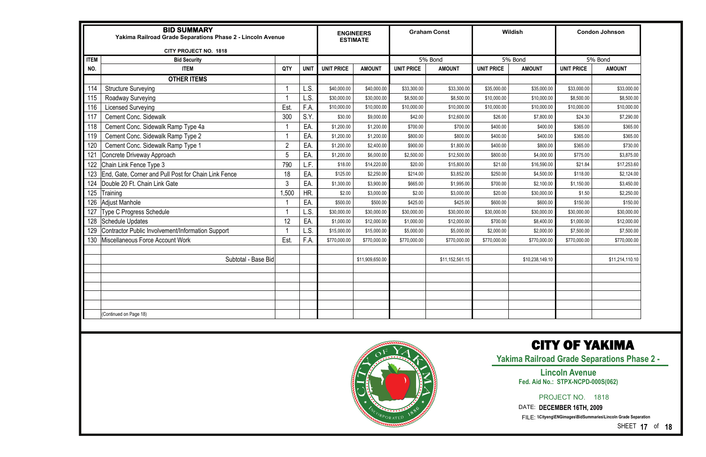|             | <b>BID SUMMARY</b><br>Yakima Railroad Grade Separations Phase 2 - Lincoln Avenue |                |             |                   | <b>ENGINEERS</b><br><b>ESTIMATE</b> |                   | <b>Graham Const</b> |                   | Wildish         |                   | <b>Condon Johnson</b> |
|-------------|----------------------------------------------------------------------------------|----------------|-------------|-------------------|-------------------------------------|-------------------|---------------------|-------------------|-----------------|-------------------|-----------------------|
|             | CITY PROJECT NO. 1818                                                            |                |             |                   |                                     |                   |                     |                   |                 |                   |                       |
| <b>ITEM</b> | <b>Bid Security</b>                                                              |                |             |                   |                                     |                   | 5% Bond             |                   | 5% Bond         |                   | 5% Bond               |
| NO.         | <b>ITEM</b>                                                                      | QTY            | <b>UNIT</b> | <b>UNIT PRICE</b> | <b>AMOUNT</b>                       | <b>UNIT PRICE</b> | <b>AMOUNT</b>       | <b>UNIT PRICE</b> | <b>AMOUNT</b>   | <b>UNIT PRICE</b> | <b>AMOUNT</b>         |
|             | <b>OTHER ITEMS</b>                                                               |                |             |                   |                                     |                   |                     |                   |                 |                   |                       |
| 114         | <b>Structure Surveying</b>                                                       | -1             | L.S.        | \$40,000.00       | \$40,000.00                         | \$33,300.00       | \$33,300.00         | \$35,000.00       | \$35,000.00     | \$33,000.00       | \$33,000.00           |
| 115         | Roadway Surveying                                                                | 1              | L.S.        | \$30,000.00       | \$30,000.00                         | \$8,500.00        | \$8,500.00          | \$10,000.00       | \$10,000.00     | \$8,500.00        | \$8,500.00            |
| 116         | <b>Licensed Surveying</b>                                                        | Est            | F.A         | \$10,000.00       | \$10,000.00                         | \$10,000.00       | \$10,000.00         | \$10,000.00       | \$10,000.00     | \$10,000.00       | \$10,000.00           |
| 117         | <b>Cement Conc. Sidewalk</b>                                                     | 300            | S.Y         | \$30.00           | \$9,000.00                          | \$42.00           | \$12,600.00         | \$26.00           | \$7,800.00      | \$24.30           | \$7,290.00            |
| 118         | Cement Conc. Sidewalk Ramp Type 4a                                               |                | EA.         | \$1,200.00        | \$1,200.00                          | \$700.00          | \$700.00            | \$400.00          | \$400.00        | \$365.00          | \$365.00              |
| 119         | Cement Conc. Sidewalk Ramp Type 2                                                | 1              | EA.         | \$1,200.00        | \$1,200.00                          | \$800.00          | \$800.00            | \$400.00          | \$400.00        | \$365.00          | \$365.00              |
| 120         | Cement Conc. Sidewalk Ramp Type 1                                                | $\overline{2}$ | EA.         | \$1,200.00        | \$2,400.00                          | \$900.00          | \$1,800.00          | \$400.00          | \$800.00        | \$365.00          | \$730.00              |
| 121         | Concrete Driveway Approach                                                       | 5              | EA.         | \$1,200.00        | \$6,000.00                          | \$2,500.00        | \$12,500.00         | \$800.00          | \$4,000.00      | \$775.00          | \$3,875.00            |
| 122         | Chain Link Fence Type 3                                                          | 790            | L.F.        | \$18.00           | \$14,220.00                         | \$20.00           | \$15,800.00         | \$21.00           | \$16,590.00     | \$21.84           | \$17,253.60           |
| 123         | End, Gate, Corner and Pull Post for Chain Link Fence                             | 18             | EA.         | \$125.00          | \$2,250.00                          | \$214.00          | \$3,852.00          | \$250.00          | \$4,500.00      | \$118.00          | \$2,124.00            |
| 124         | Double 20 Ft. Chain Link Gate                                                    | 3              | EA.         | \$1,300.00        | \$3,900.00                          | \$665.00          | \$1,995.00          | \$700.00          | \$2,100.00      | \$1,150.00        | \$3,450.00            |
| 125         | Training                                                                         | 1,500          | HR.         | \$2.00            | \$3,000.00                          | \$2.00            | \$3,000.00          | \$20.00           | \$30,000.00     | \$1.50            | \$2,250.00            |
| 126         | <b>Adjust Manhole</b>                                                            |                | EA.         | \$500.00          | \$500.00                            | \$425.00          | \$425.00            | \$600.00          | \$600.00        | \$150.00          | \$150.00              |
| 127         | <b>Type C Progress Schedule</b>                                                  | -1             | L.S.        | \$30,000.00       | \$30,000.00                         | \$30,000.00       | \$30,000.00         | \$30,000.00       | \$30,000.00     | \$30,000.00       | \$30,000.00           |
| 128         | <b>Schedule Updates</b>                                                          | 12             | EA.         | \$1,000.00        | \$12,000.00                         | \$1,000.00        | \$12,000.00         | \$700.00          | \$8,400.00      | \$1,000.00        | \$12,000.00           |
| 129         | Contractor Public Involvement/Information Support                                |                | L.S.        | \$15,000.00       | \$15,000.00                         | \$5,000.00        | \$5,000.00          | \$2,000.00        | \$2,000.00      | \$7,500.00        | \$7,500.00            |
| 130         | Miscellaneous Force Account Work                                                 | Est.           | F.A         | \$770,000.00      | \$770,000.00                        | \$770,000.00      | \$770,000.00        | \$770,000.00      | \$770,000.00    | \$770,000.00      | \$770,000.00          |
|             |                                                                                  |                |             |                   |                                     |                   |                     |                   |                 |                   |                       |
|             | Subtotal - Base Bid                                                              |                |             |                   | \$11,909,650.00                     |                   | \$11,152,561.15     |                   | \$10,238,149.10 |                   | \$11,214,110.10       |
|             |                                                                                  |                |             |                   |                                     |                   |                     |                   |                 |                   |                       |
|             |                                                                                  |                |             |                   |                                     |                   |                     |                   |                 |                   |                       |
|             |                                                                                  |                |             |                   |                                     |                   |                     |                   |                 |                   |                       |
|             |                                                                                  |                |             |                   |                                     |                   |                     |                   |                 |                   |                       |
|             |                                                                                  |                |             |                   |                                     |                   |                     |                   |                 |                   |                       |
|             | Continued on Page 18)                                                            |                |             |                   |                                     |                   |                     |                   |                 |                   |                       |



SHEET **17** of **18**

### CITY OF YAKIMA

**Yakima Railroad Grade Separations Phase 2 -** 

PROJECT NO. 1818

#### **Lincoln Avenue Fed. Aid No.: STPX-NCPD-000S(062)**

DATE: **DECEMBER 16TH, 2009**